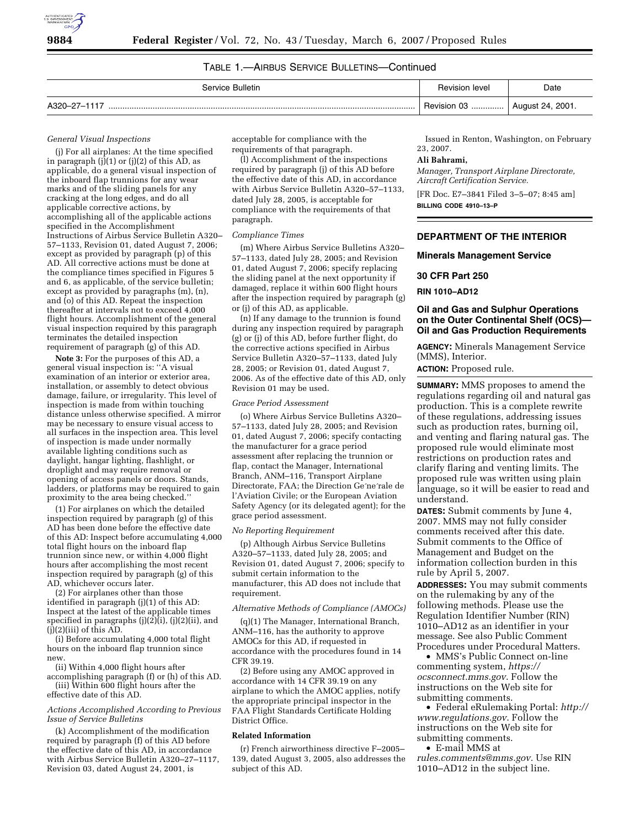

# TABLE 1.—AIRBUS SERVICE BULLETINS—Continued

| Service Bulletin | <b>Revision level</b> | Date                          |
|------------------|-----------------------|-------------------------------|
| A320-27-1117<br> | Revision 03           | <sup>1</sup> August 24, 2001. |

#### *General Visual Inspections*

(j) For all airplanes: At the time specified in paragraph (j $\tilde{j}(1)$  or (j $\tilde{j}(2)$  of this AD, as applicable, do a general visual inspection of the inboard flap trunnions for any wear marks and of the sliding panels for any cracking at the long edges, and do all applicable corrective actions, by accomplishing all of the applicable actions specified in the Accomplishment Instructions of Airbus Service Bulletin A320– 57–1133, Revision 01, dated August 7, 2006; except as provided by paragraph (p) of this AD. All corrective actions must be done at the compliance times specified in Figures 5 and 6, as applicable, of the service bulletin; except as provided by paragraphs (m), (n), and (o) of this AD. Repeat the inspection thereafter at intervals not to exceed 4,000 flight hours. Accomplishment of the general visual inspection required by this paragraph terminates the detailed inspection requirement of paragraph (g) of this AD.

**Note 3:** For the purposes of this AD, a general visual inspection is: ''A visual examination of an interior or exterior area, installation, or assembly to detect obvious damage, failure, or irregularity. This level of inspection is made from within touching distance unless otherwise specified. A mirror may be necessary to ensure visual access to all surfaces in the inspection area. This level of inspection is made under normally available lighting conditions such as daylight, hangar lighting, flashlight, or droplight and may require removal or opening of access panels or doors. Stands, ladders, or platforms may be required to gain proximity to the area being checked.''

(1) For airplanes on which the detailed inspection required by paragraph (g) of this AD has been done before the effective date of this AD: Inspect before accumulating 4,000 total flight hours on the inboard flap trunnion since new, or within 4,000 flight hours after accomplishing the most recent inspection required by paragraph (g) of this AD, whichever occurs later.

(2) For airplanes other than those identified in paragraph (j)(1) of this AD: Inspect at the latest of the applicable times specified in paragraphs  $(j)(2)\hat{i}$ ,  $(j)(2)\hat{i}$ , and  $(j)(2)(iii)$  of this AD.

(i) Before accumulating 4,000 total flight hours on the inboard flap trunnion since new.

(ii) Within 4,000 flight hours after

accomplishing paragraph (f) or (h) of this AD. (iii) Within 600 flight hours after the effective date of this AD.

#### *Actions Accomplished According to Previous Issue of Service Bulletins*

(k) Accomplishment of the modification required by paragraph (f) of this AD before the effective date of this AD, in accordance with Airbus Service Bulletin A320–27–1117, Revision 03, dated August 24, 2001, is

acceptable for compliance with the requirements of that paragraph.

(l) Accomplishment of the inspections required by paragraph (j) of this AD before the effective date of this AD, in accordance with Airbus Service Bulletin A320–57–1133, dated July 28, 2005, is acceptable for compliance with the requirements of that paragraph.

#### *Compliance Times*

(m) Where Airbus Service Bulletins A320– 57–1133, dated July 28, 2005; and Revision 01, dated August 7, 2006; specify replacing the sliding panel at the next opportunity if damaged, replace it within 600 flight hours after the inspection required by paragraph (g) or (j) of this AD, as applicable.

(n) If any damage to the trunnion is found during any inspection required by paragraph (g) or (j) of this AD, before further flight, do the corrective actions specified in Airbus Service Bulletin A320–57–1133, dated July 28, 2005; or Revision 01, dated August 7, 2006. As of the effective date of this AD, only Revision 01 may be used.

#### *Grace Period Assessment*

(o) Where Airbus Service Bulletins A320– 57–1133, dated July 28, 2005; and Revision 01, dated August 7, 2006; specify contacting the manufacturer for a grace period assessment after replacing the trunnion or flap, contact the Manager, International Branch, ANM–116, Transport Airplane Directorate, FAA; the Direction Ge´ne´rale de l'Aviation Civile; or the European Aviation Safety Agency (or its delegated agent); for the grace period assessment.

#### *No Reporting Requirement*

(p) Although Airbus Service Bulletins A320–57–1133, dated July 28, 2005; and Revision 01, dated August 7, 2006; specify to submit certain information to the manufacturer, this AD does not include that requirement.

## *Alternative Methods of Compliance (AMOCs)*

(q)(1) The Manager, International Branch, ANM–116, has the authority to approve AMOCs for this AD, if requested in accordance with the procedures found in 14 CFR 39.19.

(2) Before using any AMOC approved in accordance with 14 CFR 39.19 on any airplane to which the AMOC applies, notify the appropriate principal inspector in the FAA Flight Standards Certificate Holding District Office.

#### **Related Information**

(r) French airworthiness directive F–2005– 139, dated August 3, 2005, also addresses the subject of this AD.

Issued in Renton, Washington, on February 23, 2007.

## **Ali Bahrami,**

*Manager, Transport Airplane Directorate, Aircraft Certification Service.* 

[FR Doc. E7–3841 Filed 3–5–07; 8:45 am] **BILLING CODE 4910–13–P** 

## **DEPARTMENT OF THE INTERIOR**

#### **Minerals Management Service**

# **30 CFR Part 250**

**RIN 1010–AD12** 

## **Oil and Gas and Sulphur Operations on the Outer Continental Shelf (OCS)— Oil and Gas Production Requirements**

**AGENCY:** Minerals Management Service (MMS), Interior.

**ACTION:** Proposed rule.

**SUMMARY:** MMS proposes to amend the regulations regarding oil and natural gas production. This is a complete rewrite of these regulations, addressing issues such as production rates, burning oil, and venting and flaring natural gas. The proposed rule would eliminate most restrictions on production rates and clarify flaring and venting limits. The proposed rule was written using plain language, so it will be easier to read and understand.

**DATES:** Submit comments by June 4, 2007. MMS may not fully consider comments received after this date. Submit comments to the Office of Management and Budget on the information collection burden in this rule by April 5, 2007.

**ADDRESSES:** You may submit comments on the rulemaking by any of the following methods. Please use the Regulation Identifier Number (RIN) 1010–AD12 as an identifier in your message. See also Public Comment Procedures under Procedural Matters.

• MMS's Public Connect on-line commenting system, *https:// ocsconnect.mms.gov*. Follow the instructions on the Web site for submitting comments.

• Federal eRulemaking Portal: *http:// www.regulations.gov*. Follow the instructions on the Web site for submitting comments.

• E-mail MMS at

*rules.comments@mms.gov.* Use RIN 1010–AD12 in the subject line.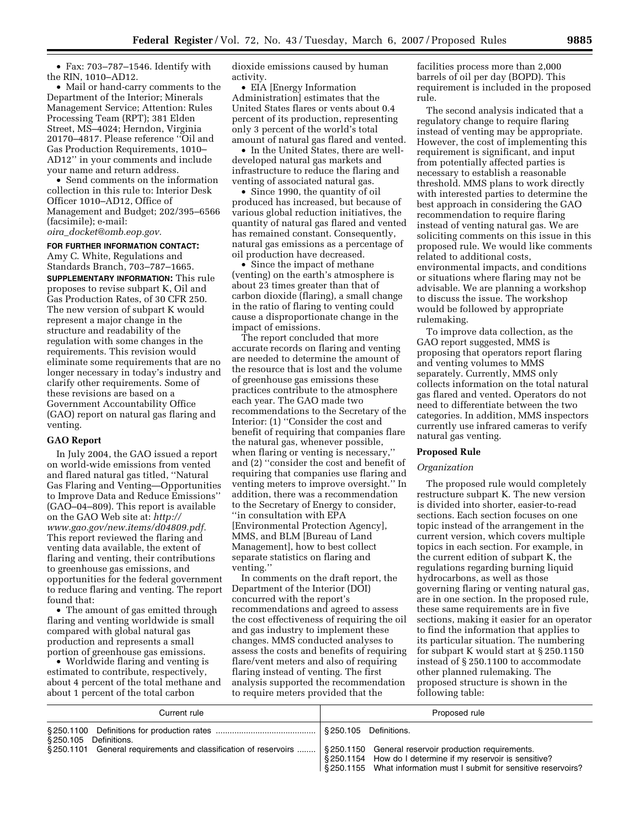• Fax: 703–787–1546. Identify with the RIN, 1010–AD12.

• Mail or hand-carry comments to the Department of the Interior; Minerals Management Service; Attention: Rules Processing Team (RPT); 381 Elden Street, MS–4024; Herndon, Virginia 20170–4817. Please reference ''Oil and Gas Production Requirements, 1010– AD12'' in your comments and include your name and return address.

• Send comments on the information collection in this rule to: Interior Desk Officer 1010–AD12, Office of Management and Budget; 202/395–6566 (facsimile); e-mail:

*oira*\_*docket@omb.eop.gov.* 

# **FOR FURTHER INFORMATION CONTACT:**

Amy C. White, Regulations and Standards Branch, 703–787–1665. **SUPPLEMENTARY INFORMATION:** This rule proposes to revise subpart K, Oil and Gas Production Rates, of 30 CFR 250. The new version of subpart K would represent a major change in the structure and readability of the regulation with some changes in the requirements. This revision would eliminate some requirements that are no longer necessary in today's industry and clarify other requirements. Some of these revisions are based on a Government Accountability Office (GAO) report on natural gas flaring and venting.

## **GAO Report**

In July 2004, the GAO issued a report on world-wide emissions from vented and flared natural gas titled, ''Natural Gas Flaring and Venting—Opportunities to Improve Data and Reduce Emissions'' (GAO–04–809). This report is available on the GAO Web site at: *http:// www.gao.gov/new.items/d04809.pdf.*  This report reviewed the flaring and venting data available, the extent of flaring and venting, their contributions to greenhouse gas emissions, and opportunities for the federal government to reduce flaring and venting. The report found that:

• The amount of gas emitted through flaring and venting worldwide is small compared with global natural gas production and represents a small portion of greenhouse gas emissions.

• Worldwide flaring and venting is estimated to contribute, respectively, about 4 percent of the total methane and about 1 percent of the total carbon

dioxide emissions caused by human activity.

• EIA [Energy Information Administration] estimates that the United States flares or vents about 0.4 percent of its production, representing only 3 percent of the world's total amount of natural gas flared and vented.

• In the United States, there are welldeveloped natural gas markets and infrastructure to reduce the flaring and venting of associated natural gas.

• Since 1990, the quantity of oil produced has increased, but because of various global reduction initiatives, the quantity of natural gas flared and vented has remained constant. Consequently, natural gas emissions as a percentage of oil production have decreased.

• Since the impact of methane (venting) on the earth's atmosphere is about 23 times greater than that of carbon dioxide (flaring), a small change in the ratio of flaring to venting could cause a disproportionate change in the impact of emissions.

The report concluded that more accurate records on flaring and venting are needed to determine the amount of the resource that is lost and the volume of greenhouse gas emissions these practices contribute to the atmosphere each year. The GAO made two recommendations to the Secretary of the Interior: (1) ''Consider the cost and benefit of requiring that companies flare the natural gas, whenever possible, when flaring or venting is necessary, and (2) ''consider the cost and benefit of requiring that companies use flaring and venting meters to improve oversight.'' In addition, there was a recommendation to the Secretary of Energy to consider, ''in consultation with EPA [Environmental Protection Agency], MMS, and BLM [Bureau of Land Management], how to best collect separate statistics on flaring and venting.''

In comments on the draft report, the Department of the Interior (DOI) concurred with the report's recommendations and agreed to assess the cost effectiveness of requiring the oil and gas industry to implement these changes. MMS conducted analyses to assess the costs and benefits of requiring flare/vent meters and also of requiring flaring instead of venting. The first analysis supported the recommendation to require meters provided that the

facilities process more than 2,000 barrels of oil per day (BOPD). This requirement is included in the proposed rule.

The second analysis indicated that a regulatory change to require flaring instead of venting may be appropriate. However, the cost of implementing this requirement is significant, and input from potentially affected parties is necessary to establish a reasonable threshold. MMS plans to work directly with interested parties to determine the best approach in considering the GAO recommendation to require flaring instead of venting natural gas. We are soliciting comments on this issue in this proposed rule. We would like comments related to additional costs, environmental impacts, and conditions or situations where flaring may not be advisable. We are planning a workshop to discuss the issue. The workshop would be followed by appropriate rulemaking.

To improve data collection, as the GAO report suggested, MMS is proposing that operators report flaring and venting volumes to MMS separately. Currently, MMS only collects information on the total natural gas flared and vented. Operators do not need to differentiate between the two categories. In addition, MMS inspectors currently use infrared cameras to verify natural gas venting.

#### **Proposed Rule**

#### *Organization*

The proposed rule would completely restructure subpart K. The new version is divided into shorter, easier-to-read sections. Each section focuses on one topic instead of the arrangement in the current version, which covers multiple topics in each section. For example, in the current edition of subpart K, the regulations regarding burning liquid hydrocarbons, as well as those governing flaring or venting natural gas, are in one section. In the proposed rule, these same requirements are in five sections, making it easier for an operator to find the information that applies to its particular situation. The numbering for subpart K would start at § 250.1150 instead of § 250.1100 to accommodate other planned rulemaking. The proposed structure is shown in the following table:

| Current rule                                                                                                            | Proposed rule                                                                                                                    |
|-------------------------------------------------------------------------------------------------------------------------|----------------------------------------------------------------------------------------------------------------------------------|
| §250.105 Definitions.                                                                                                   |                                                                                                                                  |
| §250.1101 General requirements and classification of reservoirs    §250.1150 General reservoir production requirements. | §250.1154 How do I determine if my reservoir is sensitive?<br>§250.1155 What information must I submit for sensitive reservoirs? |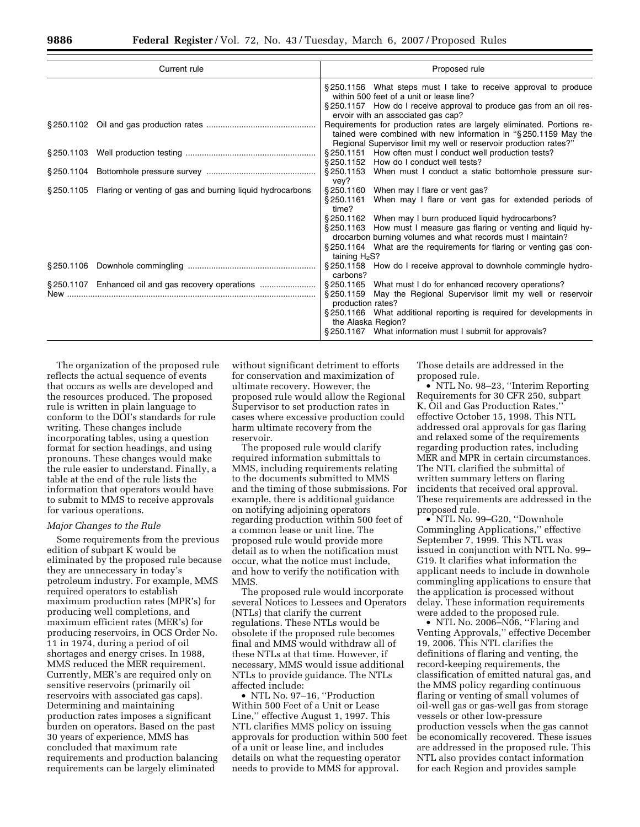| Current rule                                                        | Proposed rule                                                                                                                                                                                                                                                                                                                                                                                                     |
|---------------------------------------------------------------------|-------------------------------------------------------------------------------------------------------------------------------------------------------------------------------------------------------------------------------------------------------------------------------------------------------------------------------------------------------------------------------------------------------------------|
|                                                                     | §250.1156 What steps must I take to receive approval to produce<br>within 500 feet of a unit or lease line?<br>§250.1157 How do I receive approval to produce gas from an oil res-<br>ervoir with an associated gas cap?                                                                                                                                                                                          |
|                                                                     | Requirements for production rates are largely eliminated. Portions re-<br>tained were combined with new information in "§250.1159 May the<br>Regional Supervisor limit my well or reservoir production rates?"                                                                                                                                                                                                    |
|                                                                     | § 250.1151 How often must I conduct well production tests?<br>\$250.1152 How do I conduct well tests?                                                                                                                                                                                                                                                                                                             |
|                                                                     | §250.1153 When must I conduct a static bottomhole pressure sur-<br>vey?                                                                                                                                                                                                                                                                                                                                           |
| §250.1105 Flaring or venting of gas and burning liquid hydrocarbons | §250.1160 When may I flare or vent gas?<br>§ 250.1161<br>When may I flare or vent gas for extended periods of<br>time?<br>§250.1162 When may I burn produced liquid hydrocarbons?<br>§250.1163 How must I measure gas flaring or venting and liquid hy-<br>drocarbon burning volumes and what records must I maintain?<br>§250.1164 What are the requirements for flaring or venting gas con-<br>taining $H_2S$ ? |
|                                                                     | §250.1158 How do I receive approval to downhole commingle hydro-<br>carbons?                                                                                                                                                                                                                                                                                                                                      |
| §250.1107 Enhanced oil and gas recovery operations                  | §250.1165 What must I do for enhanced recovery operations?<br>§250.1159 May the Regional Supervisor limit my well or reservoir<br>production rates?<br>§250.1166 What additional reporting is required for developments in<br>the Alaska Region?<br>§250.1167 What information must I submit for approvals?                                                                                                       |

The organization of the proposed rule reflects the actual sequence of events that occurs as wells are developed and the resources produced. The proposed rule is written in plain language to conform to the DOI's standards for rule writing. These changes include incorporating tables, using a question format for section headings, and using pronouns. These changes would make the rule easier to understand. Finally, a table at the end of the rule lists the information that operators would have to submit to MMS to receive approvals for various operations.

## *Major Changes to the Rule*

Some requirements from the previous edition of subpart K would be eliminated by the proposed rule because they are unnecessary in today's petroleum industry. For example, MMS required operators to establish maximum production rates (MPR's) for producing well completions, and maximum efficient rates (MER's) for producing reservoirs, in OCS Order No. 11 in 1974, during a period of oil shortages and energy crises. In 1988, MMS reduced the MER requirement. Currently, MER's are required only on sensitive reservoirs (primarily oil reservoirs with associated gas caps). Determining and maintaining production rates imposes a significant burden on operators. Based on the past 30 years of experience, MMS has concluded that maximum rate requirements and production balancing requirements can be largely eliminated

without significant detriment to efforts for conservation and maximization of ultimate recovery. However, the proposed rule would allow the Regional Supervisor to set production rates in cases where excessive production could harm ultimate recovery from the reservoir.

The proposed rule would clarify required information submittals to MMS, including requirements relating to the documents submitted to MMS and the timing of those submissions. For example, there is additional guidance on notifying adjoining operators regarding production within 500 feet of a common lease or unit line. The proposed rule would provide more detail as to when the notification must occur, what the notice must include, and how to verify the notification with MMS.

The proposed rule would incorporate several Notices to Lessees and Operators (NTLs) that clarify the current regulations. These NTLs would be obsolete if the proposed rule becomes final and MMS would withdraw all of these NTLs at that time. However, if necessary, MMS would issue additional NTLs to provide guidance. The NTLs affected include:

• NTL No. 97–16, ''Production Within 500 Feet of a Unit or Lease Line,'' effective August 1, 1997. This NTL clarifies MMS policy on issuing approvals for production within 500 feet of a unit or lease line, and includes details on what the requesting operator needs to provide to MMS for approval.

Those details are addressed in the proposed rule.

• NTL No. 98–23, "Interim Reporting Requirements for 30 CFR 250, subpart K, Oil and Gas Production Rates,'' effective October 15, 1998. This NTL addressed oral approvals for gas flaring and relaxed some of the requirements regarding production rates, including MER and MPR in certain circumstances. The NTL clarified the submittal of written summary letters on flaring incidents that received oral approval. These requirements are addressed in the proposed rule.

• NTL No. 99–G20, ''Downhole Commingling Applications,'' effective September 7, 1999. This NTL was issued in conjunction with NTL No. 99– G19. It clarifies what information the applicant needs to include in downhole commingling applications to ensure that the application is processed without delay. These information requirements were added to the proposed rule.

• NTL No. 2006–N06, "Flaring and Venting Approvals,'' effective December 19, 2006. This NTL clarifies the definitions of flaring and venting, the record-keeping requirements, the classification of emitted natural gas, and the MMS policy regarding continuous flaring or venting of small volumes of oil-well gas or gas-well gas from storage vessels or other low-pressure production vessels when the gas cannot be economically recovered. These issues are addressed in the proposed rule. This NTL also provides contact information for each Region and provides sample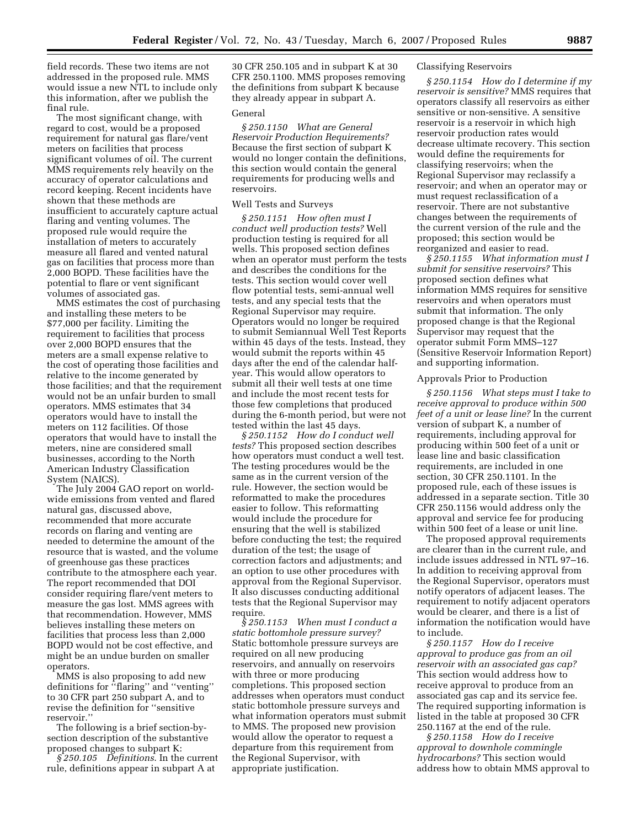field records. These two items are not addressed in the proposed rule. MMS would issue a new NTL to include only this information, after we publish the final rule.

The most significant change, with regard to cost, would be a proposed requirement for natural gas flare/vent meters on facilities that process significant volumes of oil. The current MMS requirements rely heavily on the accuracy of operator calculations and record keeping. Recent incidents have shown that these methods are insufficient to accurately capture actual flaring and venting volumes. The proposed rule would require the installation of meters to accurately measure all flared and vented natural gas on facilities that process more than 2,000 BOPD. These facilities have the potential to flare or vent significant volumes of associated gas.

MMS estimates the cost of purchasing and installing these meters to be \$77,000 per facility. Limiting the requirement to facilities that process over 2,000 BOPD ensures that the meters are a small expense relative to the cost of operating those facilities and relative to the income generated by those facilities; and that the requirement would not be an unfair burden to small operators. MMS estimates that 34 operators would have to install the meters on 112 facilities. Of those operators that would have to install the meters, nine are considered small businesses, according to the North American Industry Classification System (NAICS).

The July 2004 GAO report on worldwide emissions from vented and flared natural gas, discussed above, recommended that more accurate records on flaring and venting are needed to determine the amount of the resource that is wasted, and the volume of greenhouse gas these practices contribute to the atmosphere each year. The report recommended that DOI consider requiring flare/vent meters to measure the gas lost. MMS agrees with that recommendation. However, MMS believes installing these meters on facilities that process less than 2,000 BOPD would not be cost effective, and might be an undue burden on smaller operators.

MMS is also proposing to add new definitions for ''flaring'' and ''venting'' to 30 CFR part 250 subpart A, and to revise the definition for ''sensitive reservoir.''

The following is a brief section-bysection description of the substantive proposed changes to subpart K:

*§ 250.105 Definitions*. In the current rule, definitions appear in subpart A at

30 CFR 250.105 and in subpart K at 30 CFR 250.1100. MMS proposes removing the definitions from subpart K because they already appear in subpart A.

#### General

*§ 250.1150 What are General Reservoir Production Requirements?*  Because the first section of subpart K would no longer contain the definitions, this section would contain the general requirements for producing wells and reservoirs.

# Well Tests and Surveys

*§ 250.1151 How often must I conduct well production tests?* Well production testing is required for all wells. This proposed section defines when an operator must perform the tests and describes the conditions for the tests. This section would cover well flow potential tests, semi-annual well tests, and any special tests that the Regional Supervisor may require. Operators would no longer be required to submit Semiannual Well Test Reports within 45 days of the tests. Instead, they would submit the reports within 45 days after the end of the calendar halfyear. This would allow operators to submit all their well tests at one time and include the most recent tests for those few completions that produced during the 6-month period, but were not tested within the last 45 days.

*§ 250.1152 How do I conduct well tests?* This proposed section describes how operators must conduct a well test. The testing procedures would be the same as in the current version of the rule. However, the section would be reformatted to make the procedures easier to follow. This reformatting would include the procedure for ensuring that the well is stabilized before conducting the test; the required duration of the test; the usage of correction factors and adjustments; and an option to use other procedures with approval from the Regional Supervisor. It also discusses conducting additional tests that the Regional Supervisor may require.

*§ 250.1153 When must I conduct a static bottomhole pressure survey?*  Static bottomhole pressure surveys are required on all new producing reservoirs, and annually on reservoirs with three or more producing completions. This proposed section addresses when operators must conduct static bottomhole pressure surveys and what information operators must submit to MMS. The proposed new provision would allow the operator to request a departure from this requirement from the Regional Supervisor, with appropriate justification.

#### Classifying Reservoirs

*§ 250.1154 How do I determine if my reservoir is sensitive?* MMS requires that operators classify all reservoirs as either sensitive or non-sensitive. A sensitive reservoir is a reservoir in which high reservoir production rates would decrease ultimate recovery. This section would define the requirements for classifying reservoirs; when the Regional Supervisor may reclassify a reservoir; and when an operator may or must request reclassification of a reservoir. There are not substantive changes between the requirements of the current version of the rule and the proposed; this section would be reorganized and easier to read.

*§ 250.1155 What information must I submit for sensitive reservoirs?* This proposed section defines what information MMS requires for sensitive reservoirs and when operators must submit that information. The only proposed change is that the Regional Supervisor may request that the operator submit Form MMS–127 (Sensitive Reservoir Information Report) and supporting information.

## Approvals Prior to Production

*§ 250.1156 What steps must I take to receive approval to produce within 500 feet of a unit or lease line?* In the current version of subpart K, a number of requirements, including approval for producing within 500 feet of a unit or lease line and basic classification requirements, are included in one section, 30 CFR 250.1101. In the proposed rule, each of these issues is addressed in a separate section. Title 30 CFR 250.1156 would address only the approval and service fee for producing within 500 feet of a lease or unit line.

The proposed approval requirements are clearer than in the current rule, and include issues addressed in NTL 97–16. In addition to receiving approval from the Regional Supervisor, operators must notify operators of adjacent leases. The requirement to notify adjacent operators would be clearer, and there is a list of information the notification would have to include.

*§ 250.1157 How do I receive approval to produce gas from an oil reservoir with an associated gas cap?*  This section would address how to receive approval to produce from an associated gas cap and its service fee. The required supporting information is listed in the table at proposed 30 CFR 250.1167 at the end of the rule.

*§ 250.1158 How do I receive approval to downhole commingle hydrocarbons?* This section would address how to obtain MMS approval to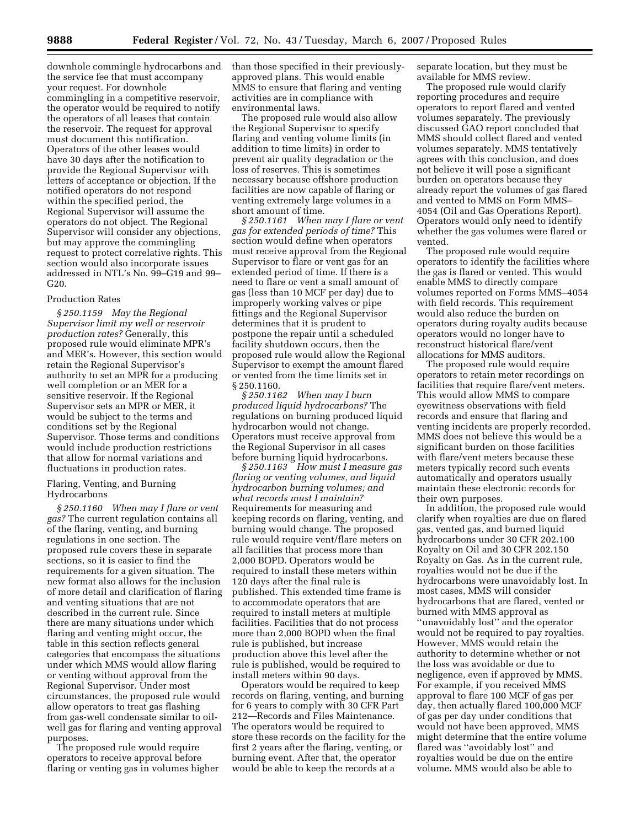downhole commingle hydrocarbons and the service fee that must accompany your request. For downhole commingling in a competitive reservoir, the operator would be required to notify the operators of all leases that contain the reservoir. The request for approval must document this notification. Operators of the other leases would have 30 days after the notification to provide the Regional Supervisor with letters of acceptance or objection. If the notified operators do not respond within the specified period, the Regional Supervisor will assume the operators do not object. The Regional Supervisor will consider any objections, but may approve the commingling request to protect correlative rights. This section would also incorporate issues addressed in NTL's No. 99–G19 and 99– G20.

#### Production Rates

*§ 250.1159 May the Regional Supervisor limit my well or reservoir production rates?* Generally, this proposed rule would eliminate MPR's and MER's. However, this section would retain the Regional Supervisor's authority to set an MPR for a producing well completion or an MER for a sensitive reservoir. If the Regional Supervisor sets an MPR or MER, it would be subject to the terms and conditions set by the Regional Supervisor. Those terms and conditions would include production restrictions that allow for normal variations and fluctuations in production rates.

## Flaring, Venting, and Burning Hydrocarbons

*§ 250.1160 When may I flare or vent gas?* The current regulation contains all of the flaring, venting, and burning regulations in one section. The proposed rule covers these in separate sections, so it is easier to find the requirements for a given situation. The new format also allows for the inclusion of more detail and clarification of flaring and venting situations that are not described in the current rule. Since there are many situations under which flaring and venting might occur, the table in this section reflects general categories that encompass the situations under which MMS would allow flaring or venting without approval from the Regional Supervisor. Under most circumstances, the proposed rule would allow operators to treat gas flashing from gas-well condensate similar to oilwell gas for flaring and venting approval purposes.

The proposed rule would require operators to receive approval before flaring or venting gas in volumes higher than those specified in their previouslyapproved plans. This would enable MMS to ensure that flaring and venting activities are in compliance with environmental laws.

The proposed rule would also allow the Regional Supervisor to specify flaring and venting volume limits (in addition to time limits) in order to prevent air quality degradation or the loss of reserves. This is sometimes necessary because offshore production facilities are now capable of flaring or venting extremely large volumes in a short amount of time.

*§ 250.1161 When may I flare or vent gas for extended periods of time?* This section would define when operators must receive approval from the Regional Supervisor to flare or vent gas for an extended period of time. If there is a need to flare or vent a small amount of gas (less than 10 MCF per day) due to improperly working valves or pipe fittings and the Regional Supervisor determines that it is prudent to postpone the repair until a scheduled facility shutdown occurs, then the proposed rule would allow the Regional Supervisor to exempt the amount flared or vented from the time limits set in § 250.1160.

*§ 250.1162 When may I burn produced liquid hydrocarbons?* The regulations on burning produced liquid hydrocarbon would not change. Operators must receive approval from the Regional Supervisor in all cases before burning liquid hydrocarbons.

*§ 250.1163 How must I measure gas flaring or venting volumes, and liquid hydrocarbon burning volumes; and what records must I maintain?*  Requirements for measuring and keeping records on flaring, venting, and burning would change. The proposed rule would require vent/flare meters on all facilities that process more than 2,000 BOPD. Operators would be required to install these meters within 120 days after the final rule is published. This extended time frame is to accommodate operators that are required to install meters at multiple facilities. Facilities that do not process more than 2,000 BOPD when the final rule is published, but increase production above this level after the rule is published, would be required to install meters within 90 days.

Operators would be required to keep records on flaring, venting, and burning for 6 years to comply with 30 CFR Part 212—Records and Files Maintenance. The operators would be required to store these records on the facility for the first 2 years after the flaring, venting, or burning event. After that, the operator would be able to keep the records at a

separate location, but they must be available for MMS review.

The proposed rule would clarify reporting procedures and require operators to report flared and vented volumes separately. The previously discussed GAO report concluded that MMS should collect flared and vented volumes separately. MMS tentatively agrees with this conclusion, and does not believe it will pose a significant burden on operators because they already report the volumes of gas flared and vented to MMS on Form MMS– 4054 (Oil and Gas Operations Report). Operators would only need to identify whether the gas volumes were flared or vented.

The proposed rule would require operators to identify the facilities where the gas is flared or vented. This would enable MMS to directly compare volumes reported on Forms MMS–4054 with field records. This requirement would also reduce the burden on operators during royalty audits because operators would no longer have to reconstruct historical flare/vent allocations for MMS auditors.

The proposed rule would require operators to retain meter recordings on facilities that require flare/vent meters. This would allow MMS to compare eyewitness observations with field records and ensure that flaring and venting incidents are properly recorded. MMS does not believe this would be a significant burden on those facilities with flare/vent meters because these meters typically record such events automatically and operators usually maintain these electronic records for their own purposes.

In addition, the proposed rule would clarify when royalties are due on flared gas, vented gas, and burned liquid hydrocarbons under 30 CFR 202.100 Royalty on Oil and 30 CFR 202.150 Royalty on Gas. As in the current rule, royalties would not be due if the hydrocarbons were unavoidably lost. In most cases, MMS will consider hydrocarbons that are flared, vented or burned with MMS approval as ''unavoidably lost'' and the operator would not be required to pay royalties. However, MMS would retain the authority to determine whether or not the loss was avoidable or due to negligence, even if approved by MMS. For example, if you received MMS approval to flare 100 MCF of gas per day, then actually flared 100,000 MCF of gas per day under conditions that would not have been approved, MMS might determine that the entire volume flared was ''avoidably lost'' and royalties would be due on the entire volume. MMS would also be able to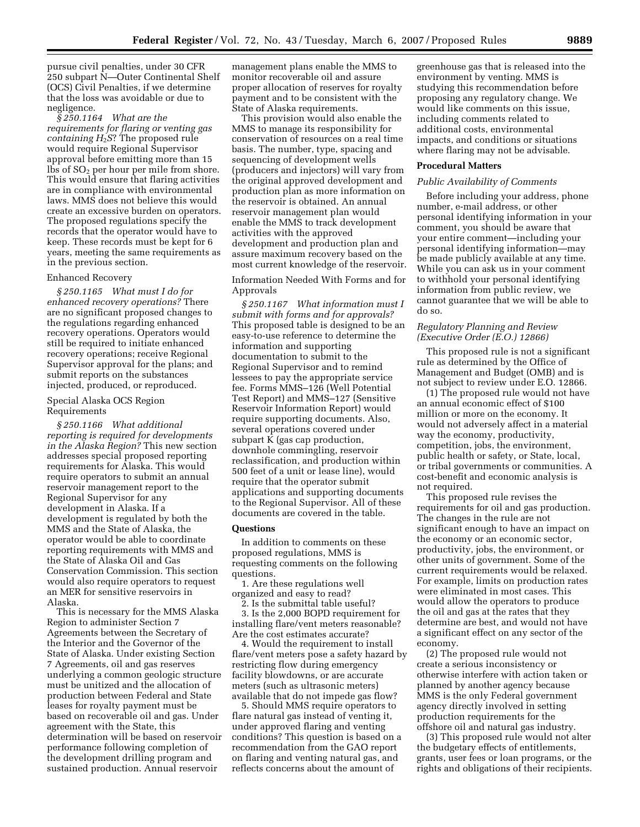pursue civil penalties, under 30 CFR 250 subpart N—Outer Continental Shelf (OCS) Civil Penalties, if we determine that the loss was avoidable or due to negligence.

*§ 250.1164 What are the requirements for flaring or venting gas containing H*2*S*? The proposed rule would require Regional Supervisor approval before emitting more than 15 lbs of  $SO<sub>2</sub>$  per hour per mile from shore. This would ensure that flaring activities are in compliance with environmental laws. MMS does not believe this would create an excessive burden on operators. The proposed regulations specify the records that the operator would have to keep. These records must be kept for 6 years, meeting the same requirements as in the previous section.

## Enhanced Recovery

*§ 250.1165 What must I do for enhanced recovery operations?* There are no significant proposed changes to the regulations regarding enhanced recovery operations. Operators would still be required to initiate enhanced recovery operations; receive Regional Supervisor approval for the plans; and submit reports on the substances injected, produced, or reproduced.

## Special Alaska OCS Region Requirements

*§ 250.1166 What additional reporting is required for developments in the Alaska Region?* This new section addresses special proposed reporting requirements for Alaska. This would require operators to submit an annual reservoir management report to the Regional Supervisor for any development in Alaska. If a development is regulated by both the MMS and the State of Alaska, the operator would be able to coordinate reporting requirements with MMS and the State of Alaska Oil and Gas Conservation Commission. This section would also require operators to request an MER for sensitive reservoirs in Alaska.

This is necessary for the MMS Alaska Region to administer Section 7 Agreements between the Secretary of the Interior and the Governor of the State of Alaska. Under existing Section 7 Agreements, oil and gas reserves underlying a common geologic structure must be unitized and the allocation of production between Federal and State leases for royalty payment must be based on recoverable oil and gas. Under agreement with the State, this determination will be based on reservoir performance following completion of the development drilling program and sustained production. Annual reservoir

management plans enable the MMS to monitor recoverable oil and assure proper allocation of reserves for royalty payment and to be consistent with the State of Alaska requirements.

This provision would also enable the MMS to manage its responsibility for conservation of resources on a real time basis. The number, type, spacing and sequencing of development wells (producers and injectors) will vary from the original approved development and production plan as more information on the reservoir is obtained. An annual reservoir management plan would enable the MMS to track development activities with the approved development and production plan and assure maximum recovery based on the most current knowledge of the reservoir.

## Information Needed With Forms and for Approvals

*§ 250.1167 What information must I submit with forms and for approvals?*  This proposed table is designed to be an easy-to-use reference to determine the information and supporting documentation to submit to the Regional Supervisor and to remind lessees to pay the appropriate service fee. Forms MMS–126 (Well Potential Test Report) and MMS–127 (Sensitive Reservoir Information Report) would require supporting documents. Also, several operations covered under subpart K (gas cap production, downhole commingling, reservoir reclassification, and production within 500 feet of a unit or lease line), would require that the operator submit applications and supporting documents to the Regional Supervisor. All of these documents are covered in the table.

## **Questions**

In addition to comments on these proposed regulations, MMS is requesting comments on the following questions.

1. Are these regulations well organized and easy to read?

2. Is the submittal table useful? 3. Is the 2,000 BOPD requirement for installing flare/vent meters reasonable? Are the cost estimates accurate?

4. Would the requirement to install flare/vent meters pose a safety hazard by restricting flow during emergency facility blowdowns, or are accurate meters (such as ultrasonic meters) available that do not impede gas flow?

5. Should MMS require operators to flare natural gas instead of venting it, under approved flaring and venting conditions? This question is based on a recommendation from the GAO report on flaring and venting natural gas, and reflects concerns about the amount of

greenhouse gas that is released into the environment by venting. MMS is studying this recommendation before proposing any regulatory change. We would like comments on this issue, including comments related to additional costs, environmental impacts, and conditions or situations where flaring may not be advisable.

#### **Procedural Matters**

## *Public Availability of Comments*

Before including your address, phone number, e-mail address, or other personal identifying information in your comment, you should be aware that your entire comment—including your personal identifying information—may be made publicly available at any time. While you can ask us in your comment to withhold your personal identifying information from public review, we cannot guarantee that we will be able to do so.

## *Regulatory Planning and Review (Executive Order (E.O.) 12866)*

This proposed rule is not a significant rule as determined by the Office of Management and Budget (OMB) and is not subject to review under E.O. 12866.

(1) The proposed rule would not have an annual economic effect of \$100 million or more on the economy. It would not adversely affect in a material way the economy, productivity, competition, jobs, the environment, public health or safety, or State, local, or tribal governments or communities. A cost-benefit and economic analysis is not required.

This proposed rule revises the requirements for oil and gas production. The changes in the rule are not significant enough to have an impact on the economy or an economic sector, productivity, jobs, the environment, or other units of government. Some of the current requirements would be relaxed. For example, limits on production rates were eliminated in most cases. This would allow the operators to produce the oil and gas at the rates that they determine are best, and would not have a significant effect on any sector of the economy.

(2) The proposed rule would not create a serious inconsistency or otherwise interfere with action taken or planned by another agency because MMS is the only Federal government agency directly involved in setting production requirements for the offshore oil and natural gas industry.

(3) This proposed rule would not alter the budgetary effects of entitlements, grants, user fees or loan programs, or the rights and obligations of their recipients.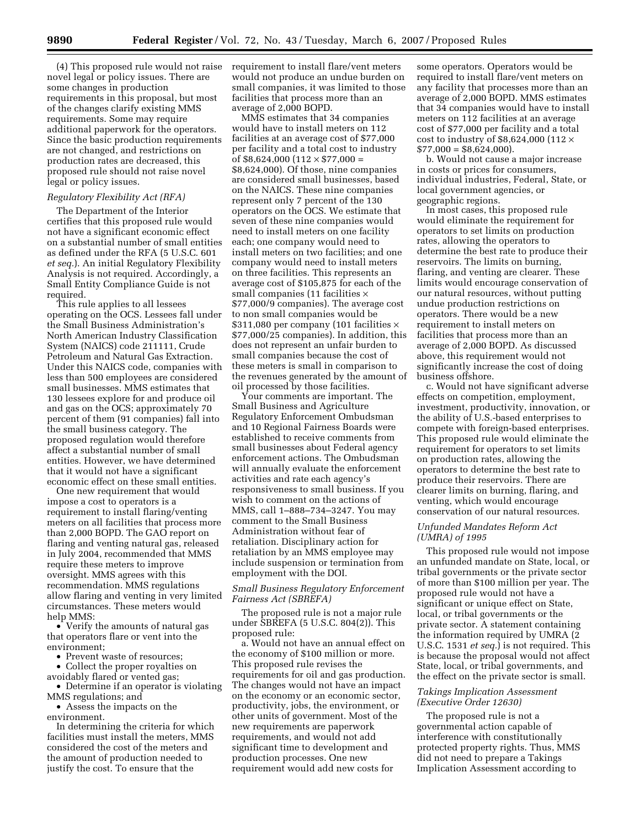(4) This proposed rule would not raise novel legal or policy issues. There are some changes in production requirements in this proposal, but most of the changes clarify existing MMS requirements. Some may require additional paperwork for the operators. Since the basic production requirements are not changed, and restrictions on production rates are decreased, this proposed rule should not raise novel legal or policy issues.

#### *Regulatory Flexibility Act (RFA)*

The Department of the Interior certifies that this proposed rule would not have a significant economic effect on a substantial number of small entities as defined under the RFA (5 U.S.C. 601 *et seq.*). An initial Regulatory Flexibility Analysis is not required. Accordingly, a Small Entity Compliance Guide is not required.

This rule applies to all lessees operating on the OCS. Lessees fall under the Small Business Administration's North American Industry Classification System (NAICS) code 211111, Crude Petroleum and Natural Gas Extraction. Under this NAICS code, companies with less than 500 employees are considered small businesses. MMS estimates that 130 lessees explore for and produce oil and gas on the OCS; approximately 70 percent of them (91 companies) fall into the small business category. The proposed regulation would therefore affect a substantial number of small entities. However, we have determined that it would not have a significant economic effect on these small entities.

One new requirement that would impose a cost to operators is a requirement to install flaring/venting meters on all facilities that process more than 2,000 BOPD. The GAO report on flaring and venting natural gas, released in July 2004, recommended that MMS require these meters to improve oversight. MMS agrees with this recommendation. MMS regulations allow flaring and venting in very limited circumstances. These meters would help MMS:

• Verify the amounts of natural gas that operators flare or vent into the environment;

• Prevent waste of resources;

• Collect the proper royalties on avoidably flared or vented gas;

• Determine if an operator is violating MMS regulations; and

• Assess the impacts on the environment.

In determining the criteria for which facilities must install the meters, MMS considered the cost of the meters and the amount of production needed to justify the cost. To ensure that the

requirement to install flare/vent meters would not produce an undue burden on small companies, it was limited to those facilities that process more than an average of 2,000 BOPD.

MMS estimates that 34 companies would have to install meters on 112 facilities at an average cost of \$77,000 per facility and a total cost to industry of  $$8,624,000$  (112  $\times$  \$77,000 = \$8,624,000). Of those, nine companies are considered small businesses, based on the NAICS. These nine companies represent only 7 percent of the 130 operators on the OCS. We estimate that seven of these nine companies would need to install meters on one facility each; one company would need to install meters on two facilities; and one company would need to install meters on three facilities. This represents an average cost of \$105,875 for each of the small companies (11 facilities  $\times$ \$77,000/9 companies). The average cost to non small companies would be \$311,080 per company (101 facilities  $\times$ \$77,000/25 companies). In addition, this does not represent an unfair burden to small companies because the cost of these meters is small in comparison to the revenues generated by the amount of oil processed by those facilities.

Your comments are important. The Small Business and Agriculture Regulatory Enforcement Ombudsman and 10 Regional Fairness Boards were established to receive comments from small businesses about Federal agency enforcement actions. The Ombudsman will annually evaluate the enforcement activities and rate each agency's responsiveness to small business. If you wish to comment on the actions of MMS, call 1–888–734–3247. You may comment to the Small Business Administration without fear of retaliation. Disciplinary action for retaliation by an MMS employee may include suspension or termination from employment with the DOI.

## *Small Business Regulatory Enforcement Fairness Act (SBREFA)*

The proposed rule is not a major rule under SBREFA (5 U.S.C. 804(2)). This proposed rule:

a. Would not have an annual effect on the economy of \$100 million or more. This proposed rule revises the requirements for oil and gas production. The changes would not have an impact on the economy or an economic sector, productivity, jobs, the environment, or other units of government. Most of the new requirements are paperwork requirements, and would not add significant time to development and production processes. One new requirement would add new costs for

some operators. Operators would be required to install flare/vent meters on any facility that processes more than an average of 2,000 BOPD. MMS estimates that 34 companies would have to install meters on 112 facilities at an average cost of \$77,000 per facility and a total cost to industry of \$8,624,000 (112  $\times$  $$77,000 = $8,624,000$ .

b. Would not cause a major increase in costs or prices for consumers, individual industries, Federal, State, or local government agencies, or geographic regions.

In most cases, this proposed rule would eliminate the requirement for operators to set limits on production rates, allowing the operators to determine the best rate to produce their reservoirs. The limits on burning, flaring, and venting are clearer. These limits would encourage conservation of our natural resources, without putting undue production restrictions on operators. There would be a new requirement to install meters on facilities that process more than an average of 2,000 BOPD. As discussed above, this requirement would not significantly increase the cost of doing business offshore.

c. Would not have significant adverse effects on competition, employment, investment, productivity, innovation, or the ability of U.S.-based enterprises to compete with foreign-based enterprises. This proposed rule would eliminate the requirement for operators to set limits on production rates, allowing the operators to determine the best rate to produce their reservoirs. There are clearer limits on burning, flaring, and venting, which would encourage conservation of our natural resources.

## *Unfunded Mandates Reform Act (UMRA) of 1995*

This proposed rule would not impose an unfunded mandate on State, local, or tribal governments or the private sector of more than \$100 million per year. The proposed rule would not have a significant or unique effect on State, local, or tribal governments or the private sector. A statement containing the information required by UMRA (2 U.S.C. 1531 *et seq.*) is not required. This is because the proposal would not affect State, local, or tribal governments, and the effect on the private sector is small.

## *Takings Implication Assessment (Executive Order 12630)*

The proposed rule is not a governmental action capable of interference with constitutionally protected property rights. Thus, MMS did not need to prepare a Takings Implication Assessment according to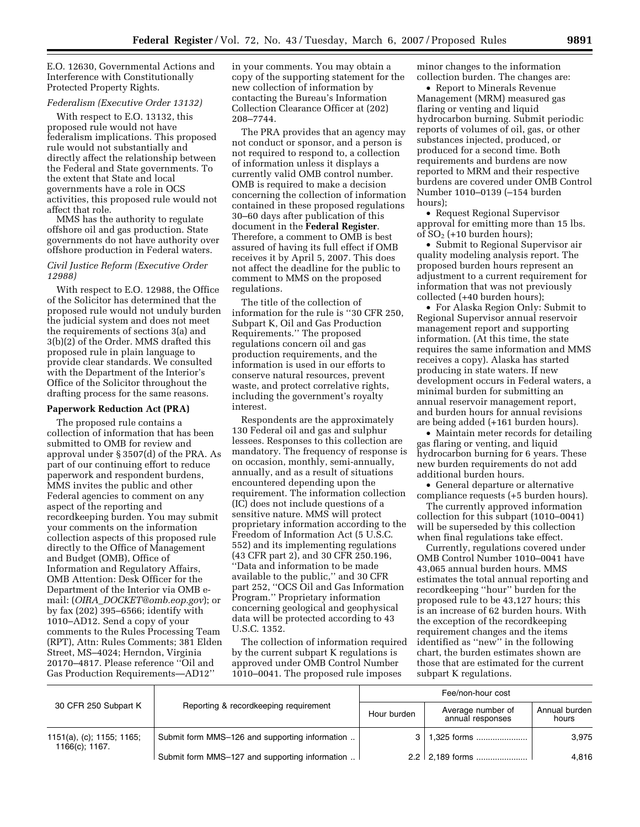E.O. 12630, Governmental Actions and Interference with Constitutionally Protected Property Rights.

## *Federalism (Executive Order 13132)*

With respect to E.O. 13132, this proposed rule would not have federalism implications. This proposed rule would not substantially and directly affect the relationship between the Federal and State governments. To the extent that State and local governments have a role in OCS activities, this proposed rule would not affect that role.

MMS has the authority to regulate offshore oil and gas production. State governments do not have authority over offshore production in Federal waters.

## *Civil Justice Reform (Executive Order 12988)*

With respect to E.O. 12988, the Office of the Solicitor has determined that the proposed rule would not unduly burden the judicial system and does not meet the requirements of sections 3(a) and 3(b)(2) of the Order. MMS drafted this proposed rule in plain language to provide clear standards. We consulted with the Department of the Interior's Office of the Solicitor throughout the drafting process for the same reasons.

#### **Paperwork Reduction Act (PRA)**

The proposed rule contains a collection of information that has been submitted to OMB for review and approval under § 3507(d) of the PRA. As part of our continuing effort to reduce paperwork and respondent burdens, MMS invites the public and other Federal agencies to comment on any aspect of the reporting and recordkeeping burden. You may submit your comments on the information collection aspects of this proposed rule directly to the Office of Management and Budget (OMB), Office of Information and Regulatory Affairs, OMB Attention: Desk Officer for the Department of the Interior via OMB email: (*OIRA*\_*DOCKET@omb.eop.gov*); or by fax (202) 395–6566; identify with 1010–AD12. Send a copy of your comments to the Rules Processing Team (RPT), Attn: Rules Comments; 381 Elden Street, MS–4024; Herndon, Virginia 20170–4817. Please reference ''Oil and Gas Production Requirements—AD12''

in your comments. You may obtain a copy of the supporting statement for the new collection of information by contacting the Bureau's Information Collection Clearance Officer at (202) 208–7744.

The PRA provides that an agency may not conduct or sponsor, and a person is not required to respond to, a collection of information unless it displays a currently valid OMB control number. OMB is required to make a decision concerning the collection of information contained in these proposed regulations 30–60 days after publication of this document in the **Federal Register**. Therefore, a comment to OMB is best assured of having its full effect if OMB receives it by April 5, 2007. This does not affect the deadline for the public to comment to MMS on the proposed regulations.

The title of the collection of information for the rule is ''30 CFR 250, Subpart K, Oil and Gas Production Requirements.'' The proposed regulations concern oil and gas production requirements, and the information is used in our efforts to conserve natural resources, prevent waste, and protect correlative rights, including the government's royalty interest.

Respondents are the approximately 130 Federal oil and gas and sulphur lessees. Responses to this collection are mandatory. The frequency of response is on occasion, monthly, semi-annually, annually, and as a result of situations encountered depending upon the requirement. The information collection (IC) does not include questions of a sensitive nature. MMS will protect proprietary information according to the Freedom of Information Act (5 U.S.C. 552) and its implementing regulations (43 CFR part 2), and 30 CFR 250.196, ''Data and information to be made available to the public,'' and 30 CFR part 252, ''OCS Oil and Gas Information Program.'' Proprietary information concerning geological and geophysical data will be protected according to 43 U.S.C. 1352.

The collection of information required by the current subpart K regulations is approved under OMB Control Number 1010–0041. The proposed rule imposes

minor changes to the information collection burden. The changes are:

• Report to Minerals Revenue Management (MRM) measured gas flaring or venting and liquid hydrocarbon burning. Submit periodic reports of volumes of oil, gas, or other substances injected, produced, or produced for a second time. Both requirements and burdens are now reported to MRM and their respective burdens are covered under OMB Control Number 1010–0139 (–154 burden hours);

• Request Regional Supervisor approval for emitting more than 15 lbs. of  $SO<sub>2</sub>$  (+10 burden hours);

• Submit to Regional Supervisor air quality modeling analysis report. The proposed burden hours represent an adjustment to a current requirement for information that was not previously collected (+40 burden hours);

• For Alaska Region Only: Submit to Regional Supervisor annual reservoir management report and supporting information. (At this time, the state requires the same information and MMS receives a copy). Alaska has started producing in state waters. If new development occurs in Federal waters, a minimal burden for submitting an annual reservoir management report, and burden hours for annual revisions are being added (+161 burden hours).

• Maintain meter records for detailing gas flaring or venting, and liquid hydrocarbon burning for 6 years. These new burden requirements do not add additional burden hours.

• General departure or alternative compliance requests (+5 burden hours).

The currently approved information collection for this subpart (1010–0041) will be superseded by this collection when final regulations take effect.

Currently, regulations covered under OMB Control Number 1010–0041 have 43,065 annual burden hours. MMS estimates the total annual reporting and recordkeeping ''hour'' burden for the proposed rule to be 43,127 hours; this is an increase of 62 burden hours. With the exception of the recordkeeping requirement changes and the items identified as ''new'' in the following chart, the burden estimates shown are those that are estimated for the current subpart K regulations.

|                                             |                                                |             | Fee/non-hour cost                     |                        |  |
|---------------------------------------------|------------------------------------------------|-------------|---------------------------------------|------------------------|--|
| 30 CFR 250 Subpart K                        | Reporting & recordkeeping requirement          | Hour burden | Average number of<br>annual responses | Annual burden<br>hours |  |
| 1151(a), (c); 1155; 1165;<br>1166(c); 1167. | Submit form MMS-126 and supporting information |             | 1 <b>.325 forms</b>                   | 3.975                  |  |
|                                             | Submit form MMS-127 and supporting information |             | $2.2$   2,189 forms                   | 4.816                  |  |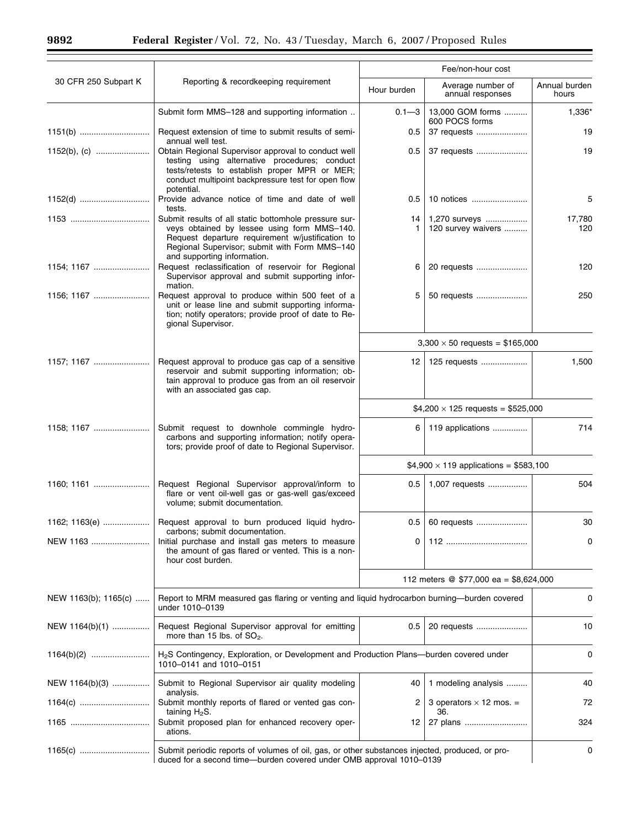۰

|                      |                                                                                                                                                                                                                                          | Fee/non-hour cost                            |                                        |                        |
|----------------------|------------------------------------------------------------------------------------------------------------------------------------------------------------------------------------------------------------------------------------------|----------------------------------------------|----------------------------------------|------------------------|
| 30 CFR 250 Subpart K | Reporting & recordkeeping requirement                                                                                                                                                                                                    | Hour burden                                  | Average number of<br>annual responses  | Annual burden<br>hours |
|                      | Submit form MMS-128 and supporting information                                                                                                                                                                                           | $0.1 - 3$                                    | 13,000 GOM forms<br>600 POCS forms     | 1,336*                 |
|                      | Request extension of time to submit results of semi-<br>annual well test.                                                                                                                                                                | 0.5                                          | 37 requests                            | 19                     |
|                      | Obtain Regional Supervisor approval to conduct well<br>testing using alternative procedures; conduct<br>tests/retests to establish proper MPR or MER;<br>conduct multipoint backpressure test for open flow<br>potential.                | 0.5                                          | 37 requests                            | 19                     |
|                      | Provide advance notice of time and date of well<br>tests.                                                                                                                                                                                | 0.5                                          | 10 notices                             | 5                      |
|                      | Submit results of all static bottomhole pressure sur-<br>veys obtained by lessee using form MMS-140.<br>Request departure requirement w/justification to<br>Regional Supervisor; submit with Form MMS-140<br>and supporting information. | 14<br>-1                                     | 1,270 surveys<br>120 survey waivers    | 17,780<br>120          |
| 1154; 1167           | Request reclassification of reservoir for Regional<br>Supervisor approval and submit supporting infor-<br>mation.                                                                                                                        | 6                                            | 20 requests                            | 120                    |
| 1156; 1167           | Request approval to produce within 500 feet of a<br>unit or lease line and submit supporting informa-<br>tion; notify operators; provide proof of date to Re-<br>gional Supervisor.                                                      | 5                                            | 50 requests                            | 250                    |
|                      |                                                                                                                                                                                                                                          |                                              | $3,300 \times 50$ requests = \$165,000 |                        |
| 1157; 1167           | Request approval to produce gas cap of a sensitive<br>reservoir and submit supporting information; ob-<br>tain approval to produce gas from an oil reservoir<br>with an associated gas cap.                                              | 12                                           | 125 requests                           | 1,500                  |
|                      |                                                                                                                                                                                                                                          | $$4,200 \times 125$ requests = \$525,000     |                                        |                        |
| 1158; 1167           | Submit request to downhole commingle hydro-<br>carbons and supporting information; notify opera-<br>tors; provide proof of date to Regional Supervisor.                                                                                  | 6                                            | 119 applications                       | 714                    |
|                      |                                                                                                                                                                                                                                          | $$4,900 \times 119$ applications = \$583,100 |                                        |                        |
|                      | Request Regional Supervisor approval/inform to<br>flare or vent oil-well gas or gas-well gas/exceed<br>volume; submit documentation.                                                                                                     | 0.5                                          | 1,007 requests                         | 504                    |
|                      | 1162; 1163(e)  Request approval to burn produced liquid hydro-<br>carbons; submit documentation.                                                                                                                                         | 0.5                                          | 60 requests                            | 30                     |
| NEW 1163             | Initial purchase and install gas meters to measure<br>the amount of gas flared or vented. This is a non-<br>hour cost burden.                                                                                                            | 0                                            |                                        | 0                      |
|                      |                                                                                                                                                                                                                                          | 112 meters @ \$77,000 ea = \$8,624,000       |                                        |                        |
| NEW 1163(b); 1165(c) | Report to MRM measured gas flaring or venting and liquid hydrocarbon burning-burden covered<br>under 1010-0139                                                                                                                           |                                              |                                        | 0                      |
| NEW 1164(b)(1)       | Request Regional Supervisor approval for emitting<br>more than 15 lbs. of $SO_2$ .                                                                                                                                                       | 0.5                                          | 20 requests                            | 10                     |
|                      | H <sub>2</sub> S Contingency, Exploration, or Development and Production Plans-burden covered under<br>1010-0141 and 1010-0151                                                                                                           |                                              | 0                                      |                        |
| NEW 1164(b)(3)       | Submit to Regional Supervisor air quality modeling                                                                                                                                                                                       | 40                                           | 1 modeling analysis                    | 40                     |
| 1164(c)              | analysis.<br>Submit monthly reports of flared or vented gas con-<br>taining $H_2S$ .                                                                                                                                                     | 2                                            | 3 operators $\times$ 12 mos. =<br>36.  | 72                     |
|                      | Submit proposed plan for enhanced recovery oper-<br>ations.                                                                                                                                                                              | 12                                           | 27 plans                               | 324                    |
| 1165(c)              | Submit periodic reports of volumes of oil, gas, or other substances injected, produced, or pro-<br>duced for a second time-burden covered under OMB approval 1010-0139                                                                   |                                              |                                        | 0                      |

 $\equiv$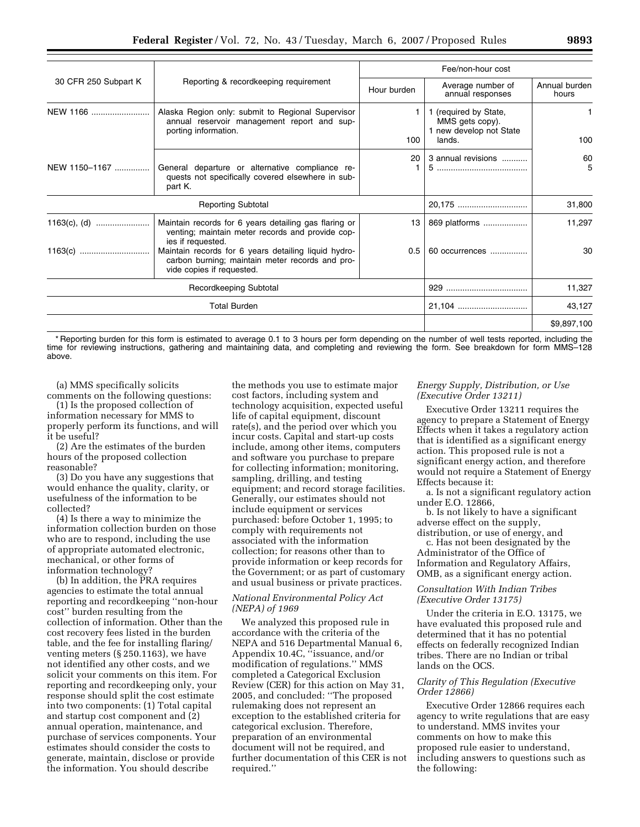|                      |                                                                                                                                      |             | Fee/non-hour cost                                                             |                        |
|----------------------|--------------------------------------------------------------------------------------------------------------------------------------|-------------|-------------------------------------------------------------------------------|------------------------|
| 30 CFR 250 Subpart K | Reporting & recordkeeping requirement                                                                                                | Hour burden | Average number of<br>annual responses                                         | Annual burden<br>hours |
| NEW 1166             | Alaska Region only: submit to Regional Supervisor<br>annual reservoir management report and sup-<br>porting information.             | 1.<br>100   | 1 (required by State,<br>MMS gets copy).<br>1 new develop not State<br>lands. | 1<br>100               |
| NEW 1150-1167        | General departure or alternative compliance re-<br>quests not specifically covered elsewhere in sub-<br>part K.                      | 20          | 3 annual revisions                                                            | 60<br>5                |
|                      | <b>Reporting Subtotal</b>                                                                                                            |             | 20,175                                                                        | 31,800                 |
|                      | Maintain records for 6 years detailing gas flaring or<br>venting; maintain meter records and provide cop-<br>ies if requested.       | 13          | 869 platforms                                                                 | 11,297                 |
|                      | Maintain records for 6 years detailing liquid hydro-<br>carbon burning; maintain meter records and pro-<br>vide copies if requested. | 0.5         | 60 occurrences                                                                | 30                     |
|                      | Recordkeeping Subtotal                                                                                                               |             |                                                                               | 11,327                 |
|                      | <b>Total Burden</b>                                                                                                                  |             | 21,104                                                                        | 43,127                 |
|                      |                                                                                                                                      |             |                                                                               | \$9,897,100            |

\* Reporting burden for this form is estimated to average 0.1 to 3 hours per form depending on the number of well tests reported, including the time for reviewing instructions, gathering and maintaining data, and completing and reviewing the form. See breakdown for form MMS–128 above.

(a) MMS specifically solicits comments on the following questions:

(1) Is the proposed collection of information necessary for MMS to properly perform its functions, and will it be useful?

(2) Are the estimates of the burden hours of the proposed collection reasonable?

(3) Do you have any suggestions that would enhance the quality, clarity, or usefulness of the information to be collected?

(4) Is there a way to minimize the information collection burden on those who are to respond, including the use of appropriate automated electronic, mechanical, or other forms of information technology?

(b) In addition, the PRA requires agencies to estimate the total annual reporting and recordkeeping ''non-hour cost'' burden resulting from the collection of information. Other than the cost recovery fees listed in the burden table, and the fee for installing flaring/ venting meters (§ 250.1163), we have not identified any other costs, and we solicit your comments on this item. For reporting and recordkeeping only, your response should split the cost estimate into two components: (1) Total capital and startup cost component and (2) annual operation, maintenance, and purchase of services components. Your estimates should consider the costs to generate, maintain, disclose or provide the information. You should describe

the methods you use to estimate major cost factors, including system and technology acquisition, expected useful life of capital equipment, discount rate(s), and the period over which you incur costs. Capital and start-up costs include, among other items, computers and software you purchase to prepare for collecting information; monitoring, sampling, drilling, and testing equipment; and record storage facilities. Generally, our estimates should not include equipment or services purchased: before October 1, 1995; to comply with requirements not associated with the information collection; for reasons other than to provide information or keep records for the Government; or as part of customary and usual business or private practices.

# *National Environmental Policy Act (NEPA) of 1969*

We analyzed this proposed rule in accordance with the criteria of the NEPA and 516 Departmental Manual 6, Appendix 10.4C, "issuance, and/or modification of regulations.'' MMS completed a Categorical Exclusion Review (CER) for this action on May 31, 2005, and concluded: ''The proposed rulemaking does not represent an exception to the established criteria for categorical exclusion. Therefore, preparation of an environmental document will not be required, and further documentation of this CER is not required.''

## *Energy Supply, Distribution, or Use (Executive Order 13211)*

Executive Order 13211 requires the agency to prepare a Statement of Energy Effects when it takes a regulatory action that is identified as a significant energy action. This proposed rule is not a significant energy action, and therefore would not require a Statement of Energy Effects because it:

a. Is not a significant regulatory action under E.O. 12866,

b. Is not likely to have a significant adverse effect on the supply,

distribution, or use of energy, and c. Has not been designated by the Administrator of the Office of Information and Regulatory Affairs, OMB, as a significant energy action.

## *Consultation With Indian Tribes (Executive Order 13175)*

Under the criteria in E.O. 13175, we have evaluated this proposed rule and determined that it has no potential effects on federally recognized Indian tribes. There are no Indian or tribal lands on the OCS.

# *Clarity of This Regulation (Executive Order 12866)*

Executive Order 12866 requires each agency to write regulations that are easy to understand. MMS invites your comments on how to make this proposed rule easier to understand, including answers to questions such as the following: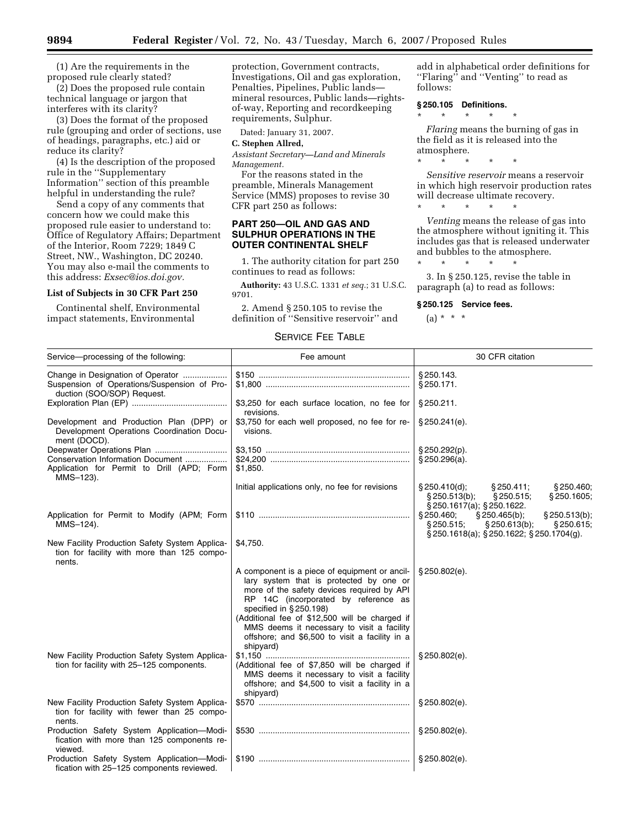(1) Are the requirements in the proposed rule clearly stated?

(2) Does the proposed rule contain technical language or jargon that interferes with its clarity?

(3) Does the format of the proposed rule (grouping and order of sections, use of headings, paragraphs, etc.) aid or reduce its clarity?

(4) Is the description of the proposed rule in the ''Supplementary Information'' section of this preamble helpful in understanding the rule?

Send a copy of any comments that concern how we could make this proposed rule easier to understand to: Office of Regulatory Affairs; Department of the Interior, Room 7229; 1849 C Street, NW., Washington, DC 20240. You may also e-mail the comments to this address: *Exsec@ios.doi.gov.* 

# **List of Subjects in 30 CFR Part 250**

Continental shelf, Environmental impact statements, Environmental

protection, Government contracts, Investigations, Oil and gas exploration, Penalties, Pipelines, Public lands mineral resources, Public lands—rightsof-way, Reporting and recordkeeping requirements, Sulphur.

Dated: January 31, 2007.

## **C. Stephen Allred,**

*Assistant Secretary—Land and Minerals Management.* 

For the reasons stated in the preamble, Minerals Management Service (MMS) proposes to revise 30 CFR part 250 as follows:

## **PART 250—OIL AND GAS AND SULPHUR OPERATIONS IN THE OUTER CONTINENTAL SHELF**

1. The authority citation for part 250 continues to read as follows:

**Authority:** 43 U.S.C. 1331 *et seq.*; 31 U.S.C. 9701.

2. Amend § 250.105 to revise the definition of ''Sensitive reservoir'' and

# SERVICE FEE TABLE

add in alphabetical order definitions for ''Flaring'' and ''Venting'' to read as follows:

#### **§ 250.105 Definitions.**

\* \* \* \* \*

\* \* \* \* \*

*Flaring* means the burning of gas in the field as it is released into the atmosphere.

*Sensitive reservoir* means a reservoir in which high reservoir production rates will decrease ultimate recovery.<br>  $\ast$   $\quad$   $\ast$   $\quad$   $\ast$   $\quad$   $\ast$ 

\* \* \* \* \*

*Venting* means the release of gas into the atmosphere without igniting it. This includes gas that is released underwater and bubbles to the atmosphere.

3. In § 250.125, revise the table in paragraph (a) to read as follows:

#### **§ 250.125 Service fees.**

\* \* \* \* \*

(a) \* \* \*

| Service-processing of the following:                                                                           | Fee amount                                                                                                                                                                                                                                                                                                                                                                  | 30 CFR citation                                                                                                                                       |
|----------------------------------------------------------------------------------------------------------------|-----------------------------------------------------------------------------------------------------------------------------------------------------------------------------------------------------------------------------------------------------------------------------------------------------------------------------------------------------------------------------|-------------------------------------------------------------------------------------------------------------------------------------------------------|
| Change in Designation of Operator<br>Suspension of Operations/Suspension of Pro-<br>duction (SOO/SOP) Request. |                                                                                                                                                                                                                                                                                                                                                                             | § 250.143.<br>§250.171.                                                                                                                               |
|                                                                                                                | \$3,250 for each surface location, no fee for<br>revisions.                                                                                                                                                                                                                                                                                                                 | $§250.211$ .                                                                                                                                          |
| Development and Production Plan (DPP) or<br>Development Operations Coordination Docu-<br>ment (DOCD).          | \$3,750 for each well proposed, no fee for re-<br>visions.                                                                                                                                                                                                                                                                                                                  | $§$ 250.241(e).                                                                                                                                       |
| Conservation Information Document<br>Application for Permit to Drill (APD; Form<br>MMS-123).                   | \$1,850.                                                                                                                                                                                                                                                                                                                                                                    | $\S 250.292(p)$ .<br>\$250.296(a).                                                                                                                    |
|                                                                                                                | Initial applications only, no fee for revisions                                                                                                                                                                                                                                                                                                                             | \$250.410(d);<br>§250.411;<br>§ 250.460;<br>$§$ 250.513(b);<br>§250.515;<br>$§$ 250.1605;<br>$\S$ 250.1617(a); $\S$ 250.1622.                         |
| Application for Permit to Modify (APM; Form<br>MMS-124).                                                       |                                                                                                                                                                                                                                                                                                                                                                             | § 250.460;<br>$\S 250.465(b)$ ;<br>$§$ 250.513(b);<br>$§$ 250.613(b);<br>§250.615;<br>§250.515;<br>$\S$ 250.1618(a); $\S$ 250.1622; $\S$ 250.1704(g). |
| New Facility Production Safety System Applica-<br>tion for facility with more than 125 compo-<br>nents.        | \$4,750.                                                                                                                                                                                                                                                                                                                                                                    |                                                                                                                                                       |
|                                                                                                                | A component is a piece of equipment or ancil-<br>lary system that is protected by one or<br>more of the safety devices required by API<br>RP 14C (incorporated by reference as<br>specified in $\S$ 250.198)<br>(Additional fee of \$12,500 will be charged if<br>MMS deems it necessary to visit a facility<br>offshore; and \$6,500 to visit a facility in a<br>shipyard) | \$250.802(e).                                                                                                                                         |
| New Facility Production Safety System Applica-<br>tion for facility with 25-125 components.                    | (Additional fee of \$7,850 will be charged if<br>MMS deems it necessary to visit a facility<br>offshore; and \$4,500 to visit a facility in a<br>shipyard)                                                                                                                                                                                                                  | \$250.802(e).                                                                                                                                         |
| New Facility Production Safety System Applica-<br>tion for facility with fewer than 25 compo-<br>nents.        |                                                                                                                                                                                                                                                                                                                                                                             | \$250.802(e).                                                                                                                                         |
| Production Safety System Application-Modi-<br>fication with more than 125 components re-<br>viewed.            |                                                                                                                                                                                                                                                                                                                                                                             | \$250.802(e).                                                                                                                                         |
| Production Safety System Application-Modi-<br>fication with 25-125 components reviewed.                        |                                                                                                                                                                                                                                                                                                                                                                             | § 250.802(e).                                                                                                                                         |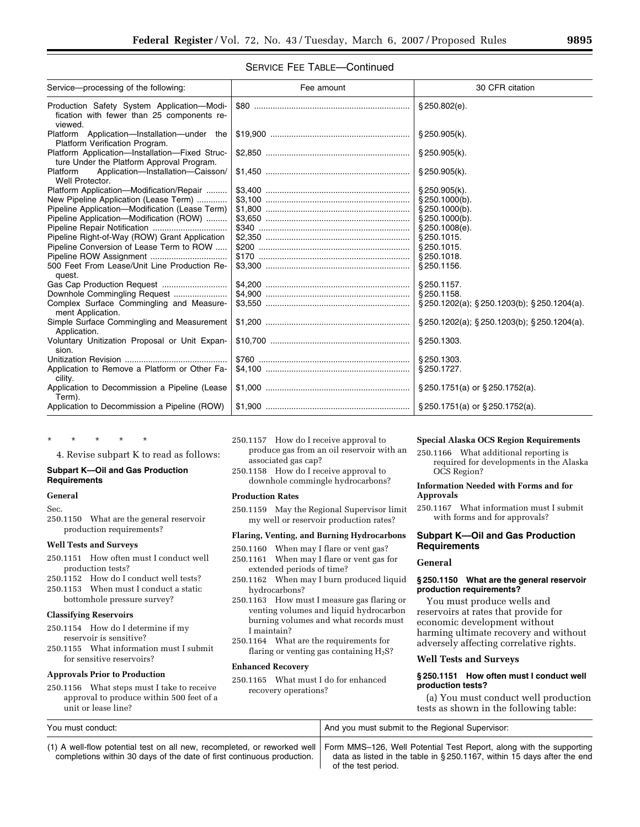# SERVICE FEE TABLE—Continued

| Service-processing of the following:                                                                | Fee amount | 30 CFR citation                                          |
|-----------------------------------------------------------------------------------------------------|------------|----------------------------------------------------------|
| Production Safety System Application-Modi-<br>fication with fewer than 25 components re-<br>viewed. |            | \$250.802(e).                                            |
| Platform Application-Installation-under the<br>Platform Verification Program.                       |            | § 250.905(k).                                            |
| Platform Application-Installation-Fixed Struc-<br>ture Under the Platform Approval Program.         |            | § 250.905(k).                                            |
| Application-Installation-Caisson/<br>Platform<br>Well Protector.                                    |            | \$250.905(k).                                            |
| Platform Application-Modification/Repair                                                            |            | \$250.905(k).                                            |
| New Pipeline Application (Lease Term)                                                               |            | § 250.1000(b).                                           |
| Pipeline Application-Modification (Lease Term)                                                      |            | \$250.1000(b).                                           |
| Pipeline Application-Modification (ROW)                                                             |            | $\S 250.1000(b)$ .                                       |
|                                                                                                     |            | \$250.1008(e).                                           |
| Pipeline Right-of-Way (ROW) Grant Application                                                       |            | §250.1015.                                               |
| Pipeline Conversion of Lease Term to ROW                                                            |            | § 250.1015.                                              |
| Pipeline ROW Assignment                                                                             |            | § 250.1018.                                              |
| 500 Feet From Lease/Unit Line Production Re-<br>quest.                                              |            | § 250.1156.                                              |
|                                                                                                     |            | § 250.1157.                                              |
| Downhole Commingling Request                                                                        |            | § 250.1158.                                              |
| Complex Surface Commingling and Measure-<br>ment Application.                                       |            | $\S 250.1202(a)$ ; $\S 250.1203(b)$ ; $\S 250.1204(a)$ . |
| Simple Surface Commingling and Measurement<br>Application.                                          |            | § 250.1202(a); § 250.1203(b); § 250.1204(a).             |
| Voluntary Unitization Proposal or Unit Expan-<br>sion.                                              |            | § 250.1303.                                              |
|                                                                                                     |            | § 250.1303.                                              |
| Application to Remove a Platform or Other Fa-<br>cility.                                            |            | § 250.1727.                                              |
| Application to Decommission a Pipeline (Lease<br>Term).                                             |            | § 250.1751(a) or § 250.1752(a).                          |
| Application to Decommission a Pipeline (ROW)                                                        |            |                                                          |

## \* \* \* \* \*

4. Revise subpart K to read as follows:

#### **Subpart K—Oil and Gas Production Requirements**

# **General**

Sec.

250.1150 What are the general reservoir production requirements?

#### **Well Tests and Surveys**

- 250.1151 How often must I conduct well production tests?
- 250.1152 How do I conduct well tests?
- 250.1153 When must I conduct a static bottomhole pressure survey?

## **Classifying Reservoirs**

- 250.1154 How do I determine if my reservoir is sensitive?
- 250.1155 What information must I submit for sensitive reservoirs?

## **Approvals Prior to Production**

250.1156 What steps must I take to receive approval to produce within 500 feet of a unit or lease line?

- 250.1157 How do I receive approval to produce gas from an oil reservoir with an associated gas cap?
- 250.1158 How do I receive approval to downhole commingle hydrocarbons?

#### **Production Rates**

250.1159 May the Regional Supervisor limit my well or reservoir production rates?

#### **Flaring, Venting, and Burning Hydrocarbons**

- 250.1160 When may I flare or vent gas?
- 250.1161 When may I flare or vent gas for
- extended periods of time? 250.1162 When may I burn produced liquid hydrocarbons?
- 250.1163 How must I measure gas flaring or venting volumes and liquid hydrocarbon burning volumes and what records must I maintain?
- 250.1164 What are the requirements for flaring or venting gas containing  $H_2S$ ?

#### **Enhanced Recovery**

250.1165 What must I do for enhanced recovery operations?

# **Special Alaska OCS Region Requirements**

250.1166 What additional reporting is required for developments in the Alaska OCS Region?

#### **Information Needed with Forms and for Approvals**

250.1167 What information must I submit with forms and for approvals?

# **Subpart K—Oil and Gas Production Requirements**

# **General**

## **§ 250.1150 What are the general reservoir production requirements?**

You must produce wells and reservoirs at rates that provide for economic development without harming ultimate recovery and without adversely affecting correlative rights.

## **Well Tests and Surveys**

# **§ 250.1151 How often must I conduct well production tests?**

(a) You must conduct well production tests as shown in the following table:

| You must conduct:                                                                                                                                                                                                        | And you must submit to the Regional Supervisor:                        |
|--------------------------------------------------------------------------------------------------------------------------------------------------------------------------------------------------------------------------|------------------------------------------------------------------------|
| (1) A well-flow potential test on all new, recompleted, or reworked well   Form MMS-126, Well Potential Test Report, along with the supporting<br>completions within 30 days of the date of first continuous production. | data as listed in the table in §250.1167, within 15 days after the end |

 $\mathbf{I}$ 

of the test period.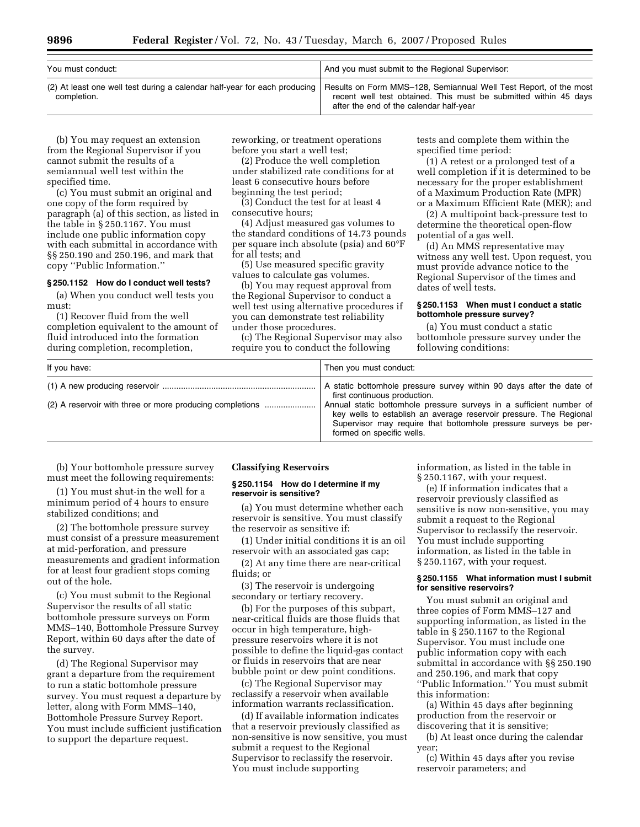| You must conduct: | And you must submit to the Regional Supervisor:                                                                                                                                                                                                              |
|-------------------|--------------------------------------------------------------------------------------------------------------------------------------------------------------------------------------------------------------------------------------------------------------|
| completion.       | (2) At least one well test during a calendar half-year for each producing   Results on Form MMS-128, Semiannual Well Test Report, of the most<br>recent well test obtained. This must be submitted within 45 days<br>after the end of the calendar half-year |

(b) You may request an extension from the Regional Supervisor if you cannot submit the results of a semiannual well test within the specified time.

(c) You must submit an original and one copy of the form required by paragraph (a) of this section, as listed in the table in § 250.1167. You must include one public information copy with each submittal in accordance with §§ 250.190 and 250.196, and mark that copy ''Public Information.''

#### **§ 250.1152 How do I conduct well tests?**

(a) When you conduct well tests you must:

(1) Recover fluid from the well completion equivalent to the amount of fluid introduced into the formation during completion, recompletion,

reworking, or treatment operations before you start a well test;

(2) Produce the well completion under stabilized rate conditions for at least 6 consecutive hours before beginning the test period;

(3) Conduct the test for at least 4 consecutive hours;

(4) Adjust measured gas volumes to the standard conditions of 14.73 pounds per square inch absolute (psia) and 60°F for all tests; and

(5) Use measured specific gravity values to calculate gas volumes.

(b) You may request approval from the Regional Supervisor to conduct a well test using alternative procedures if you can demonstrate test reliability under those procedures.

(c) The Regional Supervisor may also require you to conduct the following

tests and complete them within the specified time period:

(1) A retest or a prolonged test of a well completion if it is determined to be necessary for the proper establishment of a Maximum Production Rate (MPR) or a Maximum Efficient Rate (MER); and

(2) A multipoint back-pressure test to determine the theoretical open-flow potential of a gas well.

(d) An MMS representative may witness any well test. Upon request, you must provide advance notice to the Regional Supervisor of the times and dates of well tests.

## **§ 250.1153 When must I conduct a static bottomhole pressure survey?**

(a) You must conduct a static bottomhole pressure survey under the following conditions:

| If you have:                                             | Then you must conduct:                                                                                                                                                                                                                                                                                                                            |
|----------------------------------------------------------|---------------------------------------------------------------------------------------------------------------------------------------------------------------------------------------------------------------------------------------------------------------------------------------------------------------------------------------------------|
| (2) A reservoir with three or more producing completions | A static bottomhole pressure survey within 90 days after the date of<br>first continuous production.<br>Annual static bottomhole pressure surveys in a sufficient number of<br>key wells to establish an average reservoir pressure. The Regional<br>Supervisor may require that bottomhole pressure surveys be per-<br>formed on specific wells. |

(b) Your bottomhole pressure survey must meet the following requirements:

(1) You must shut-in the well for a minimum period of 4 hours to ensure stabilized conditions; and

(2) The bottomhole pressure survey must consist of a pressure measurement at mid-perforation, and pressure measurements and gradient information for at least four gradient stops coming out of the hole.

(c) You must submit to the Regional Supervisor the results of all static bottomhole pressure surveys on Form MMS–140, Bottomhole Pressure Survey Report, within 60 days after the date of the survey.

(d) The Regional Supervisor may grant a departure from the requirement to run a static bottomhole pressure survey. You must request a departure by letter, along with Form MMS–140, Bottomhole Pressure Survey Report. You must include sufficient justification to support the departure request.

## **Classifying Reservoirs**

#### **§ 250.1154 How do I determine if my reservoir is sensitive?**

(a) You must determine whether each reservoir is sensitive. You must classify the reservoir as sensitive if:

(1) Under initial conditions it is an oil reservoir with an associated gas cap;

(2) At any time there are near-critical fluids; or

(3) The reservoir is undergoing secondary or tertiary recovery.

(b) For the purposes of this subpart, near-critical fluids are those fluids that occur in high temperature, highpressure reservoirs where it is not possible to define the liquid-gas contact or fluids in reservoirs that are near bubble point or dew point conditions.

(c) The Regional Supervisor may reclassify a reservoir when available information warrants reclassification.

(d) If available information indicates that a reservoir previously classified as non-sensitive is now sensitive, you must submit a request to the Regional Supervisor to reclassify the reservoir. You must include supporting

information, as listed in the table in § 250.1167, with your request.

(e) If information indicates that a reservoir previously classified as sensitive is now non-sensitive, you may submit a request to the Regional Supervisor to reclassify the reservoir. You must include supporting information, as listed in the table in § 250.1167, with your request.

## **§ 250.1155 What information must I submit for sensitive reservoirs?**

You must submit an original and three copies of Form MMS–127 and supporting information, as listed in the table in § 250.1167 to the Regional Supervisor. You must include one public information copy with each submittal in accordance with §§ 250.190 and 250.196, and mark that copy ''Public Information.'' You must submit this information:

(a) Within 45 days after beginning production from the reservoir or discovering that it is sensitive;

(b) At least once during the calendar year;

(c) Within 45 days after you revise reservoir parameters; and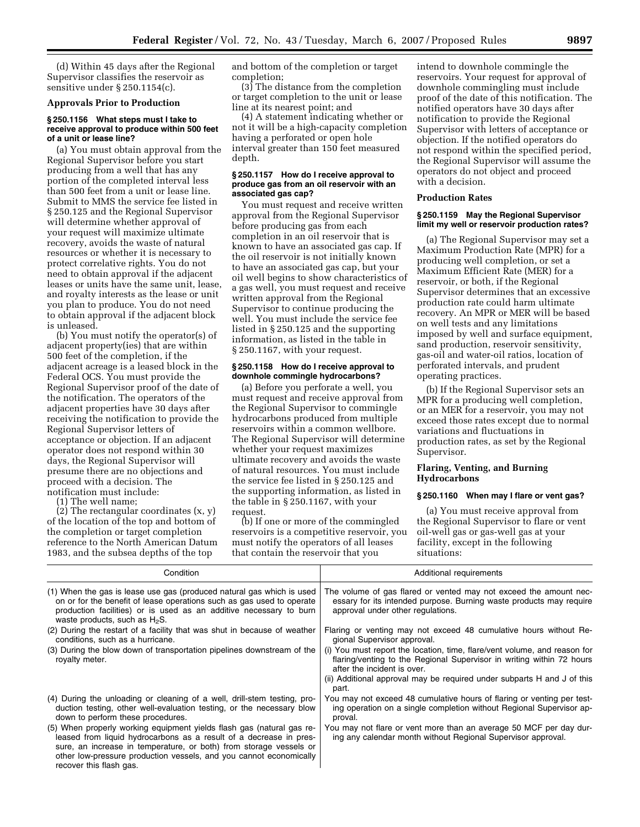(d) Within 45 days after the Regional Supervisor classifies the reservoir as sensitive under § 250.1154(c).

## **Approvals Prior to Production**

#### **§ 250.1156 What steps must I take to receive approval to produce within 500 feet of a unit or lease line?**

(a) You must obtain approval from the Regional Supervisor before you start producing from a well that has any portion of the completed interval less than 500 feet from a unit or lease line. Submit to MMS the service fee listed in § 250.125 and the Regional Supervisor will determine whether approval of your request will maximize ultimate recovery, avoids the waste of natural resources or whether it is necessary to protect correlative rights. You do not need to obtain approval if the adjacent leases or units have the same unit, lease, and royalty interests as the lease or unit you plan to produce. You do not need to obtain approval if the adjacent block is unleased.

(b) You must notify the operator(s) of adjacent property(ies) that are within 500 feet of the completion, if the adjacent acreage is a leased block in the Federal OCS. You must provide the Regional Supervisor proof of the date of the notification. The operators of the adjacent properties have 30 days after receiving the notification to provide the Regional Supervisor letters of acceptance or objection. If an adjacent operator does not respond within 30 days, the Regional Supervisor will presume there are no objections and proceed with a decision. The notification must include:

(1) The well name;

recover this flash gas.

(2) The rectangular coordinates (x, y) of the location of the top and bottom of the completion or target completion reference to the North American Datum 1983, and the subsea depths of the top

and bottom of the completion or target completion;

(3) The distance from the completion or target completion to the unit or lease line at its nearest point; and

(4) A statement indicating whether or not it will be a high-capacity completion having a perforated or open hole interval greater than 150 feet measured depth.

#### **§ 250.1157 How do I receive approval to produce gas from an oil reservoir with an associated gas cap?**

You must request and receive written approval from the Regional Supervisor before producing gas from each completion in an oil reservoir that is known to have an associated gas cap. If the oil reservoir is not initially known to have an associated gas cap, but your oil well begins to show characteristics of a gas well, you must request and receive written approval from the Regional Supervisor to continue producing the well. You must include the service fee listed in § 250.125 and the supporting information, as listed in the table in § 250.1167, with your request.

#### **§ 250.1158 How do I receive approval to downhole commingle hydrocarbons?**

(a) Before you perforate a well, you must request and receive approval from the Regional Supervisor to commingle hydrocarbons produced from multiple reservoirs within a common wellbore. The Regional Supervisor will determine whether your request maximizes ultimate recovery and avoids the waste of natural resources. You must include the service fee listed in § 250.125 and the supporting information, as listed in the table in § 250.1167, with your request.

(b) If one or more of the commingled reservoirs is a competitive reservoir, you must notify the operators of all leases that contain the reservoir that you

intend to downhole commingle the reservoirs. Your request for approval of downhole commingling must include proof of the date of this notification. The notified operators have 30 days after notification to provide the Regional Supervisor with letters of acceptance or objection. If the notified operators do not respond within the specified period, the Regional Supervisor will assume the operators do not object and proceed with a decision.

#### **Production Rates**

## **§ 250.1159 May the Regional Supervisor limit my well or reservoir production rates?**

(a) The Regional Supervisor may set a Maximum Production Rate (MPR) for a producing well completion, or set a Maximum Efficient Rate (MER) for a reservoir, or both, if the Regional Supervisor determines that an excessive production rate could harm ultimate recovery. An MPR or MER will be based on well tests and any limitations imposed by well and surface equipment, sand production, reservoir sensitivity, gas-oil and water-oil ratios, location of perforated intervals, and prudent operating practices.

(b) If the Regional Supervisor sets an MPR for a producing well completion, or an MER for a reservoir, you may not exceed those rates except due to normal variations and fluctuations in production rates, as set by the Regional Supervisor.

## **Flaring, Venting, and Burning Hydrocarbons**

## **§ 250.1160 When may I flare or vent gas?**

(a) You must receive approval from the Regional Supervisor to flare or vent oil-well gas or gas-well gas at your facility, except in the following situations:

| Condition                                                                                                                                                                                                                                                                               | Additional requirements                                                                                                                                                           |
|-----------------------------------------------------------------------------------------------------------------------------------------------------------------------------------------------------------------------------------------------------------------------------------------|-----------------------------------------------------------------------------------------------------------------------------------------------------------------------------------|
| (1) When the gas is lease use gas (produced natural gas which is used<br>on or for the benefit of lease operations such as gas used to operate<br>production facilities) or is used as an additive necessary to burn<br>waste products, such as $H_2S$ .                                | The volume of gas flared or vented may not exceed the amount nec-<br>essary for its intended purpose. Burning waste products may require<br>approval under other regulations.     |
| (2) During the restart of a facility that was shut in because of weather<br>conditions, such as a hurricane.                                                                                                                                                                            | Flaring or venting may not exceed 48 cumulative hours without Re-<br>gional Supervisor approval.                                                                                  |
| (3) During the blow down of transportation pipelines downstream of the<br>royalty meter.                                                                                                                                                                                                | (i) You must report the location, time, flare/vent volume, and reason for<br>flaring/venting to the Regional Supervisor in writing within 72 hours<br>after the incident is over. |
|                                                                                                                                                                                                                                                                                         | (ii) Additional approval may be required under subparts H and J of this<br>part.                                                                                                  |
| (4) During the unloading or cleaning of a well, drill-stem testing, pro-<br>duction testing, other well-evaluation testing, or the necessary blow<br>down to perform these procedures.                                                                                                  | You may not exceed 48 cumulative hours of flaring or venting per test-<br>ing operation on a single completion without Regional Supervisor ap-<br>proval.                         |
| (5) When properly working equipment yields flash gas (natural gas re-<br>leased from liquid hydrocarbons as a result of a decrease in pres-<br>sure, an increase in temperature, or both) from storage vessels or<br>other low-pressure production vessels, and you cannot economically | You may not flare or vent more than an average 50 MCF per day dur-<br>ing any calendar month without Regional Supervisor approval.                                                |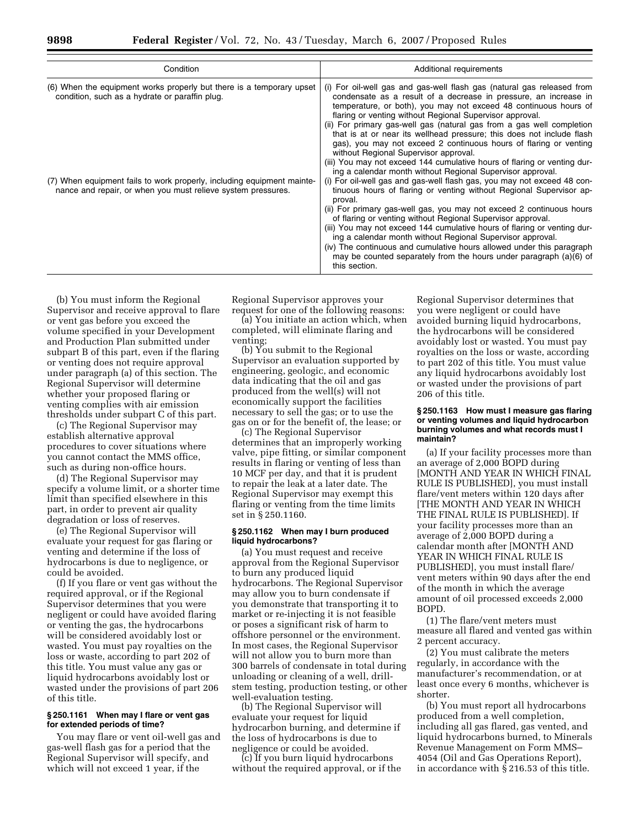| Condition                                                                                                                              | Additional requirements                                                                                                                                                                                                                                                                                                                                                                                                                                                                                                                                                                                                                                                              |  |  |  |  |
|----------------------------------------------------------------------------------------------------------------------------------------|--------------------------------------------------------------------------------------------------------------------------------------------------------------------------------------------------------------------------------------------------------------------------------------------------------------------------------------------------------------------------------------------------------------------------------------------------------------------------------------------------------------------------------------------------------------------------------------------------------------------------------------------------------------------------------------|--|--|--|--|
| (6) When the equipment works properly but there is a temporary upset<br>condition, such as a hydrate or paraffin plug.                 | (i) For oil-well gas and gas-well flash gas (natural gas released from<br>condensate as a result of a decrease in pressure, an increase in<br>temperature, or both), you may not exceed 48 continuous hours of<br>flaring or venting without Regional Supervisor approval.<br>(ii) For primary gas-well gas (natural gas from a gas well completion<br>that is at or near its wellhead pressure; this does not include flash<br>gas), you may not exceed 2 continuous hours of flaring or venting<br>without Regional Supervisor approval.<br>(iii) You may not exceed 144 cumulative hours of flaring or venting dur-<br>ing a calendar month without Regional Supervisor approval. |  |  |  |  |
| (7) When equipment fails to work properly, including equipment mainte-<br>nance and repair, or when you must relieve system pressures. | (i) For oil-well gas and gas-well flash gas, you may not exceed 48 con-<br>tinuous hours of flaring or venting without Regional Supervisor ap-<br>proval.<br>(ii) For primary gas-well gas, you may not exceed 2 continuous hours<br>of flaring or venting without Regional Supervisor approval.<br>(iii) You may not exceed 144 cumulative hours of flaring or venting dur-<br>ing a calendar month without Regional Supervisor approval.<br>(iv) The continuous and cumulative hours allowed under this paragraph<br>may be counted separately from the hours under paragraph $(a)(6)$ of<br>this section.                                                                         |  |  |  |  |

(b) You must inform the Regional Supervisor and receive approval to flare or vent gas before you exceed the volume specified in your Development and Production Plan submitted under subpart B of this part, even if the flaring or venting does not require approval under paragraph (a) of this section. The Regional Supervisor will determine whether your proposed flaring or venting complies with air emission thresholds under subpart C of this part.

(c) The Regional Supervisor may establish alternative approval procedures to cover situations where you cannot contact the MMS office, such as during non-office hours.

(d) The Regional Supervisor may specify a volume limit, or a shorter time limit than specified elsewhere in this part, in order to prevent air quality degradation or loss of reserves.

(e) The Regional Supervisor will evaluate your request for gas flaring or venting and determine if the loss of hydrocarbons is due to negligence, or could be avoided.

(f) If you flare or vent gas without the required approval, or if the Regional Supervisor determines that you were negligent or could have avoided flaring or venting the gas, the hydrocarbons will be considered avoidably lost or wasted. You must pay royalties on the loss or waste, according to part 202 of this title. You must value any gas or liquid hydrocarbons avoidably lost or wasted under the provisions of part 206 of this title.

## **§ 250.1161 When may I flare or vent gas for extended periods of time?**

You may flare or vent oil-well gas and gas-well flash gas for a period that the Regional Supervisor will specify, and which will not exceed 1 year, if the

Regional Supervisor approves your request for one of the following reasons:

(a) You initiate an action which, when completed, will eliminate flaring and venting;

(b) You submit to the Regional Supervisor an evaluation supported by engineering, geologic, and economic data indicating that the oil and gas produced from the well(s) will not economically support the facilities necessary to sell the gas; or to use the gas on or for the benefit of, the lease; or

(c) The Regional Supervisor determines that an improperly working valve, pipe fitting, or similar component results in flaring or venting of less than 10 MCF per day, and that it is prudent to repair the leak at a later date. The Regional Supervisor may exempt this flaring or venting from the time limits set in § 250.1160.

#### **§ 250.1162 When may I burn produced liquid hydrocarbons?**

(a) You must request and receive approval from the Regional Supervisor to burn any produced liquid hydrocarbons. The Regional Supervisor may allow you to burn condensate if you demonstrate that transporting it to market or re-injecting it is not feasible or poses a significant risk of harm to offshore personnel or the environment. In most cases, the Regional Supervisor will not allow you to burn more than 300 barrels of condensate in total during unloading or cleaning of a well, drillstem testing, production testing, or other well-evaluation testing.

(b) The Regional Supervisor will evaluate your request for liquid hydrocarbon burning, and determine if the loss of hydrocarbons is due to negligence or could be avoided.

(c) If you burn liquid hydrocarbons without the required approval, or if the

Regional Supervisor determines that you were negligent or could have avoided burning liquid hydrocarbons, the hydrocarbons will be considered avoidably lost or wasted. You must pay royalties on the loss or waste, according to part 202 of this title. You must value any liquid hydrocarbons avoidably lost or wasted under the provisions of part 206 of this title.

#### **§ 250.1163 How must I measure gas flaring or venting volumes and liquid hydrocarbon burning volumes and what records must I maintain?**

(a) If your facility processes more than an average of 2,000 BOPD during [MONTH AND YEAR IN WHICH FINAL RULE IS PUBLISHED], you must install flare/vent meters within 120 days after [THE MONTH AND YEAR IN WHICH THE FINAL RULE IS PUBLISHED]. If your facility processes more than an average of 2,000 BOPD during a calendar month after [MONTH AND YEAR IN WHICH FINAL RULE IS PUBLISHED], you must install flare/ vent meters within 90 days after the end of the month in which the average amount of oil processed exceeds 2,000 BOPD.

(1) The flare/vent meters must measure all flared and vented gas within 2 percent accuracy.

(2) You must calibrate the meters regularly, in accordance with the manufacturer's recommendation, or at least once every 6 months, whichever is shorter.

(b) You must report all hydrocarbons produced from a well completion, including all gas flared, gas vented, and liquid hydrocarbons burned, to Minerals Revenue Management on Form MMS– 4054 (Oil and Gas Operations Report), in accordance with § 216.53 of this title.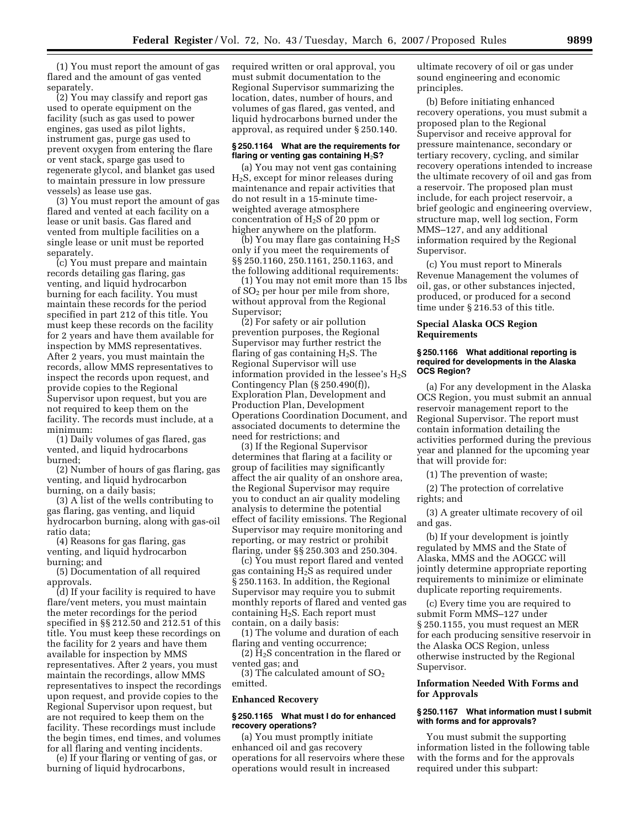(1) You must report the amount of gas flared and the amount of gas vented separately.

(2) You may classify and report gas used to operate equipment on the facility (such as gas used to power engines, gas used as pilot lights, instrument gas, purge gas used to prevent oxygen from entering the flare or vent stack, sparge gas used to regenerate glycol, and blanket gas used to maintain pressure in low pressure vessels) as lease use gas.

(3) You must report the amount of gas flared and vented at each facility on a lease or unit basis. Gas flared and vented from multiple facilities on a single lease or unit must be reported separately.

(c) You must prepare and maintain records detailing gas flaring, gas venting, and liquid hydrocarbon burning for each facility. You must maintain these records for the period specified in part 212 of this title. You must keep these records on the facility for 2 years and have them available for inspection by MMS representatives. After 2 years, you must maintain the records, allow MMS representatives to inspect the records upon request, and provide copies to the Regional Supervisor upon request, but you are not required to keep them on the facility. The records must include, at a minimum:

(1) Daily volumes of gas flared, gas vented, and liquid hydrocarbons burned;

(2) Number of hours of gas flaring, gas venting, and liquid hydrocarbon burning, on a daily basis;

(3) A list of the wells contributing to gas flaring, gas venting, and liquid hydrocarbon burning, along with gas-oil ratio data;

(4) Reasons for gas flaring, gas venting, and liquid hydrocarbon burning; and

(5) Documentation of all required approvals.

(d) If your facility is required to have flare/vent meters, you must maintain the meter recordings for the period specified in §§ 212.50 and 212.51 of this title. You must keep these recordings on the facility for 2 years and have them available for inspection by MMS representatives. After 2 years, you must maintain the recordings, allow MMS representatives to inspect the recordings upon request, and provide copies to the Regional Supervisor upon request, but are not required to keep them on the facility. These recordings must include the begin times, end times, and volumes for all flaring and venting incidents.

(e) If your flaring or venting of gas, or burning of liquid hydrocarbons,

required written or oral approval, you must submit documentation to the Regional Supervisor summarizing the location, dates, number of hours, and volumes of gas flared, gas vented, and liquid hydrocarbons burned under the approval, as required under § 250.140.

#### **§ 250.1164 What are the requirements for flaring or venting gas containing H**2**S?**

(a) You may not vent gas containing H2S, except for minor releases during maintenance and repair activities that do not result in a 15-minute timeweighted average atmosphere concentration of  $H_2S$  of 20 ppm or higher anywhere on the platform.

(b) You may flare gas containing  $H_2S$ only if you meet the requirements of §§ 250.1160, 250.1161, 250.1163, and the following additional requirements:

(1) You may not emit more than 15 lbs of  $SO<sub>2</sub>$  per hour per mile from shore, without approval from the Regional Supervisor;

(2) For safety or air pollution prevention purposes, the Regional Supervisor may further restrict the flaring of gas containing  $H_2S$ . The Regional Supervisor will use information provided in the lessee's  $H_2S$ Contingency Plan (§ 250.490(f)), Exploration Plan, Development and Production Plan, Development Operations Coordination Document, and associated documents to determine the need for restrictions; and

(3) If the Regional Supervisor determines that flaring at a facility or group of facilities may significantly affect the air quality of an onshore area, the Regional Supervisor may require you to conduct an air quality modeling analysis to determine the potential effect of facility emissions. The Regional Supervisor may require monitoring and reporting, or may restrict or prohibit flaring, under §§ 250.303 and 250.304.

(c) You must report flared and vented gas containing  $H_2S$  as required under § 250.1163. In addition, the Regional Supervisor may require you to submit monthly reports of flared and vented gas containing H2S. Each report must contain, on a daily basis:

(1) The volume and duration of each flaring and venting occurrence;

(2)  $\overline{H}_2$ S concentration in the flared or vented gas; and

(3) The calculated amount of  $SO<sub>2</sub>$ emitted.

#### **Enhanced Recovery**

#### **§ 250.1165 What must I do for enhanced recovery operations?**

(a) You must promptly initiate enhanced oil and gas recovery operations for all reservoirs where these operations would result in increased

ultimate recovery of oil or gas under sound engineering and economic principles.

(b) Before initiating enhanced recovery operations, you must submit a proposed plan to the Regional Supervisor and receive approval for pressure maintenance, secondary or tertiary recovery, cycling, and similar recovery operations intended to increase the ultimate recovery of oil and gas from a reservoir. The proposed plan must include, for each project reservoir, a brief geologic and engineering overview, structure map, well log section, Form MMS–127, and any additional information required by the Regional Supervisor.

(c) You must report to Minerals Revenue Management the volumes of oil, gas, or other substances injected, produced, or produced for a second time under § 216.53 of this title.

#### **Special Alaska OCS Region Requirements**

#### **§ 250.1166 What additional reporting is required for developments in the Alaska OCS Region?**

(a) For any development in the Alaska OCS Region, you must submit an annual reservoir management report to the Regional Supervisor. The report must contain information detailing the activities performed during the previous year and planned for the upcoming year that will provide for:

(1) The prevention of waste;

(2) The protection of correlative rights; and

(3) A greater ultimate recovery of oil and gas.

(b) If your development is jointly regulated by MMS and the State of Alaska, MMS and the AOGCC will jointly determine appropriate reporting requirements to minimize or eliminate duplicate reporting requirements.

(c) Every time you are required to submit Form MMS–127 under § 250.1155, you must request an MER for each producing sensitive reservoir in the Alaska OCS Region, unless otherwise instructed by the Regional Supervisor.

## **Information Needed With Forms and for Approvals**

# **§ 250.1167 What information must I submit with forms and for approvals?**

You must submit the supporting information listed in the following table with the forms and for the approvals required under this subpart: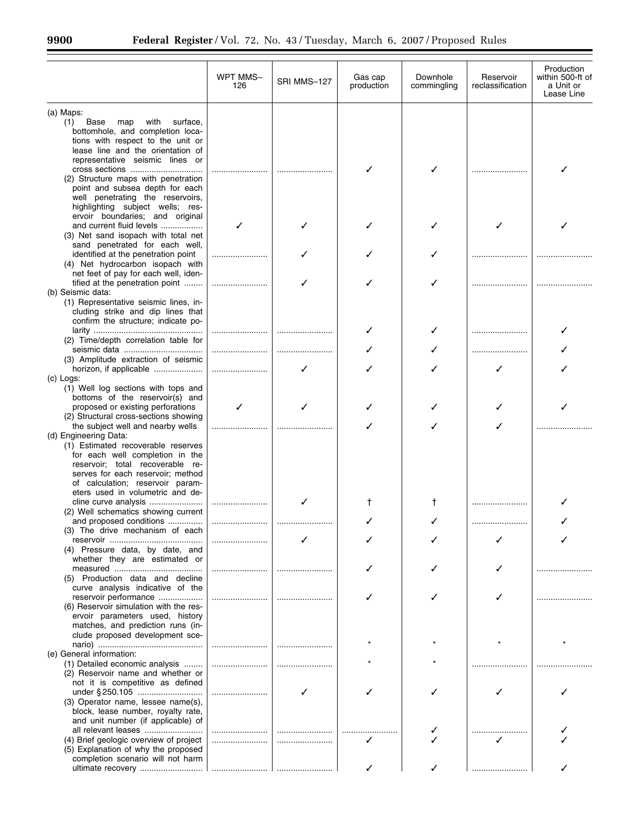$\equiv$ 

|                                                                                                                                                      | WPT MMS-<br>126 | SRI MMS-127 | Gas cap<br>production | Downhole<br>commingling | Reservoir<br>reclassification | Production<br>within 500-ft of<br>a Unit or<br>Lease Line |
|------------------------------------------------------------------------------------------------------------------------------------------------------|-----------------|-------------|-----------------------|-------------------------|-------------------------------|-----------------------------------------------------------|
| (a) Maps:                                                                                                                                            |                 |             |                       |                         |                               |                                                           |
| Base<br>with<br>surface,<br>(1)<br>map<br>bottomhole, and completion loca-<br>tions with respect to the unit or<br>lease line and the orientation of |                 |             |                       |                         |                               |                                                           |
| representative seismic lines or<br>cross sections<br>(2) Structure maps with penetration                                                             |                 |             |                       |                         |                               |                                                           |
| point and subsea depth for each<br>well penetrating the reservoirs,<br>highlighting subject wells; res-<br>ervoir boundaries; and original           |                 |             |                       |                         |                               |                                                           |
| and current fluid levels<br>(3) Net sand isopach with total net                                                                                      |                 |             |                       |                         |                               |                                                           |
| sand penetrated for each well,<br>identified at the penetration point<br>(4) Net hydrocarbon isopach with                                            |                 |             |                       |                         |                               |                                                           |
| net feet of pay for each well, iden-<br>tified at the penetration point<br>(b) Seismic data:                                                         |                 |             |                       |                         |                               |                                                           |
| (1) Representative seismic lines, in-<br>cluding strike and dip lines that<br>confirm the structure; indicate po-                                    |                 |             |                       |                         |                               |                                                           |
| (2) Time/depth correlation table for                                                                                                                 |                 |             |                       |                         |                               |                                                           |
| (3) Amplitude extraction of seismic                                                                                                                  |                 |             |                       |                         |                               |                                                           |
| (c) Logs:                                                                                                                                            |                 |             |                       |                         |                               |                                                           |
| (1) Well log sections with tops and<br>bottoms of the reservoir(s) and                                                                               |                 |             |                       |                         |                               |                                                           |
| proposed or existing perforations<br>(2) Structural cross-sections showing                                                                           | ✓               |             |                       |                         |                               |                                                           |
| the subject well and nearby wells<br>(d) Engineering Data:                                                                                           |                 |             |                       |                         |                               |                                                           |
| (1) Estimated recoverable reserves<br>for each well completion in the                                                                                |                 |             |                       |                         |                               |                                                           |
| reservoir; total recoverable re-<br>serves for each reservoir; method                                                                                |                 |             |                       |                         |                               |                                                           |
| of calculation; reservoir param-<br>eters used in volumetric and de-                                                                                 |                 |             |                       |                         |                               |                                                           |
| cline curve analysis<br>(2) Well schematics showing current                                                                                          |                 |             | Ť                     | Ť                       |                               |                                                           |
| and proposed conditions<br>(3) The drive mechanism of each                                                                                           |                 |             |                       |                         |                               |                                                           |
| (4) Pressure data, by date, and                                                                                                                      |                 |             |                       |                         |                               |                                                           |
| whether they are estimated or                                                                                                                        |                 |             |                       |                         |                               |                                                           |
| (5) Production data and decline<br>curve analysis indicative of the                                                                                  |                 |             |                       |                         |                               |                                                           |
| reservoir performance<br>(6) Reservoir simulation with the res-                                                                                      |                 |             |                       |                         |                               |                                                           |
| ervoir parameters used, history<br>matches, and prediction runs (in-                                                                                 |                 |             |                       |                         |                               |                                                           |
| clude proposed development sce-<br>(e) General information:                                                                                          |                 |             |                       |                         |                               |                                                           |
| (1) Detailed economic analysis<br>(2) Reservoir name and whether or                                                                                  |                 |             |                       |                         |                               |                                                           |
| not it is competitive as defined<br>under § 250.105                                                                                                  |                 |             |                       |                         |                               |                                                           |
| (3) Operator name, lessee name(s),<br>block, lease number, royalty rate,                                                                             |                 |             |                       |                         |                               |                                                           |
| and unit number (if applicable) of<br>all relevant leases                                                                                            |                 |             |                       |                         |                               |                                                           |
| (4) Brief geologic overview of project<br>(5) Explanation of why the proposed<br>completion scenario will not harm                                   |                 |             |                       |                         |                               |                                                           |
|                                                                                                                                                      |                 |             |                       |                         |                               |                                                           |